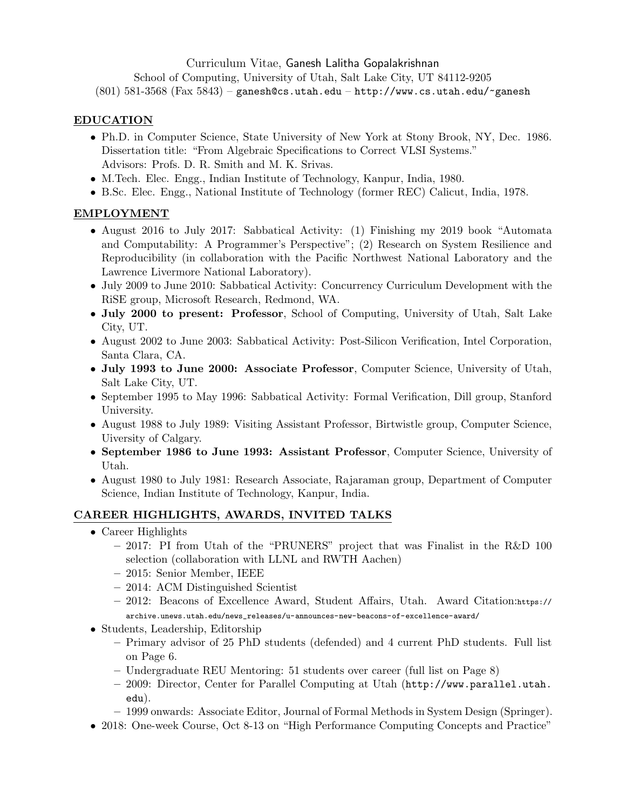Curriculum Vitae, Ganesh Lalitha Gopalakrishnan

School of Computing, University of Utah, Salt Lake City, UT 84112-9205

 $(801)$  581-3568 (Fax 5843) – ganesh@cs.utah.edu – http://www.cs.utah.edu/~ganesh

## EDUCATION

- Ph.D. in Computer Science, State University of New York at Stony Brook, NY, Dec. 1986. Dissertation title: "From Algebraic Specifications to Correct VLSI Systems." Advisors: Profs. D. R. Smith and M. K. Srivas.
- M.Tech. Elec. Engg., Indian Institute of Technology, Kanpur, India, 1980.
- B.Sc. Elec. Engg., National Institute of Technology (former REC) Calicut, India, 1978.

# EMPLOYMENT

- August 2016 to July 2017: Sabbatical Activity: (1) Finishing my 2019 book "Automata and Computability: A Programmer's Perspective"; (2) Research on System Resilience and Reproducibility (in collaboration with the Pacific Northwest National Laboratory and the Lawrence Livermore National Laboratory).
- July 2009 to June 2010: Sabbatical Activity: Concurrency Curriculum Development with the RiSE group, Microsoft Research, Redmond, WA.
- July 2000 to present: Professor, School of Computing, University of Utah, Salt Lake City, UT.
- August 2002 to June 2003: Sabbatical Activity: Post-Silicon Verification, Intel Corporation, Santa Clara, CA.
- July 1993 to June 2000: Associate Professor, Computer Science, University of Utah, Salt Lake City, UT.
- September 1995 to May 1996: Sabbatical Activity: Formal Verification, Dill group, Stanford University.
- August 1988 to July 1989: Visiting Assistant Professor, Birtwistle group, Computer Science, Uiversity of Calgary.
- September 1986 to June 1993: Assistant Professor, Computer Science, University of Utah.
- August 1980 to July 1981: Research Associate, Rajaraman group, Department of Computer Science, Indian Institute of Technology, Kanpur, India.

# CAREER HIGHLIGHTS, AWARDS, INVITED TALKS

- Career Highlights
	- 2017: PI from Utah of the "PRUNERS" project that was Finalist in the R&D 100 selection (collaboration with LLNL and RWTH Aachen)
	- 2015: Senior Member, IEEE
	- 2014: ACM Distinguished Scientist
	- 2012: Beacons of Excellence Award, Student Affairs, Utah. Award Citation:https:// archive.unews.utah.edu/news\_releases/u-announces-new-beacons-of-excellence-award/
- Students, Leadership, Editorship
	- Primary advisor of 25 PhD students (defended) and 4 current PhD students. Full list on Page 6.
	- Undergraduate REU Mentoring: 51 students over career (full list on Page 8)
	- 2009: Director, Center for Parallel Computing at Utah (http://www.parallel.utah. edu).
	- 1999 onwards: Associate Editor, Journal of Formal Methods in System Design (Springer).
- 2018: One-week Course, Oct 8-13 on "High Performance Computing Concepts and Practice"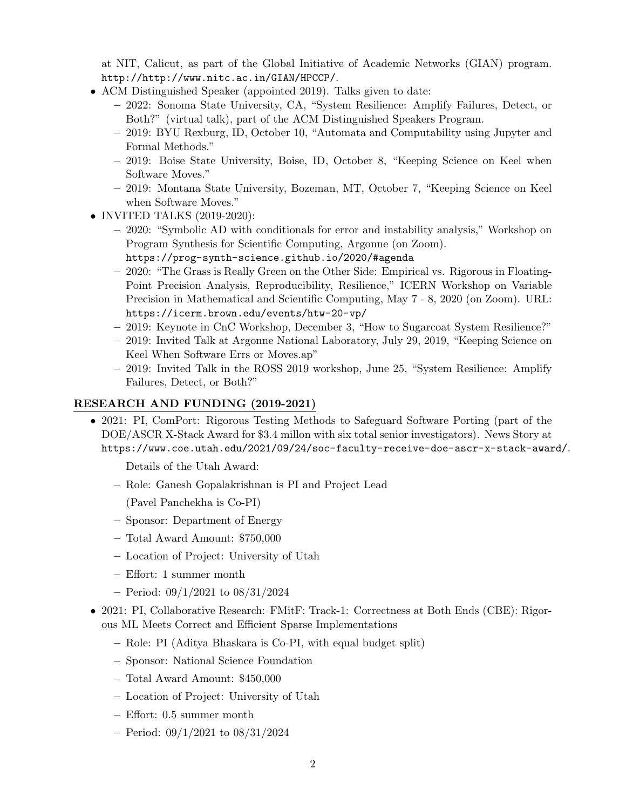at NIT, Calicut, as part of the Global Initiative of Academic Networks (GIAN) program. http://http://www.nitc.ac.in/GIAN/HPCCP/.

- ACM Distinguished Speaker (appointed 2019). Talks given to date:
	- 2022: Sonoma State University, CA, "System Resilience: Amplify Failures, Detect, or Both?" (virtual talk), part of the ACM Distinguished Speakers Program.
	- 2019: BYU Rexburg, ID, October 10, "Automata and Computability using Jupyter and Formal Methods."
	- 2019: Boise State University, Boise, ID, October 8, "Keeping Science on Keel when Software Moves."
	- 2019: Montana State University, Bozeman, MT, October 7, "Keeping Science on Keel when Software Moves."
- INVITED TALKS (2019-2020):
	- 2020: "Symbolic AD with conditionals for error and instability analysis," Workshop on Program Synthesis for Scientific Computing, Argonne (on Zoom). https://prog-synth-science.github.io/2020/#agenda
	- 2020: "The Grass is Really Green on the Other Side: Empirical vs. Rigorous in Floating-Point Precision Analysis, Reproducibility, Resilience," ICERN Workshop on Variable Precision in Mathematical and Scientific Computing, May 7 - 8, 2020 (on Zoom). URL: https://icerm.brown.edu/events/htw-20-vp/
	- 2019: Keynote in CnC Workshop, December 3, "How to Sugarcoat System Resilience?"
	- 2019: Invited Talk at Argonne National Laboratory, July 29, 2019, "Keeping Science on Keel When Software Errs or Moves.ap"
	- 2019: Invited Talk in the ROSS 2019 workshop, June 25, "System Resilience: Amplify Failures, Detect, or Both?"

## RESEARCH AND FUNDING (2019-2021)

• 2021: PI, ComPort: Rigorous Testing Methods to Safeguard Software Porting (part of the DOE/ASCR X-Stack Award for \$3.4 millon with six total senior investigators). News Story at https://www.coe.utah.edu/2021/09/24/soc-faculty-receive-doe-ascr-x-stack-award/.

Details of the Utah Award:

– Role: Ganesh Gopalakrishnan is PI and Project Lead

(Pavel Panchekha is Co-PI)

- Sponsor: Department of Energy
- Total Award Amount: \$750,000
- Location of Project: University of Utah
- Effort: 1 summer month
- Period: 09/1/2021 to 08/31/2024
- 2021: PI, Collaborative Research: FMitF: Track-1: Correctness at Both Ends (CBE): Rigorous ML Meets Correct and Efficient Sparse Implementations
	- Role: PI (Aditya Bhaskara is Co-PI, with equal budget split)
	- Sponsor: National Science Foundation
	- Total Award Amount: \$450,000
	- Location of Project: University of Utah
	- Effort: 0.5 summer month
	- Period: 09/1/2021 to 08/31/2024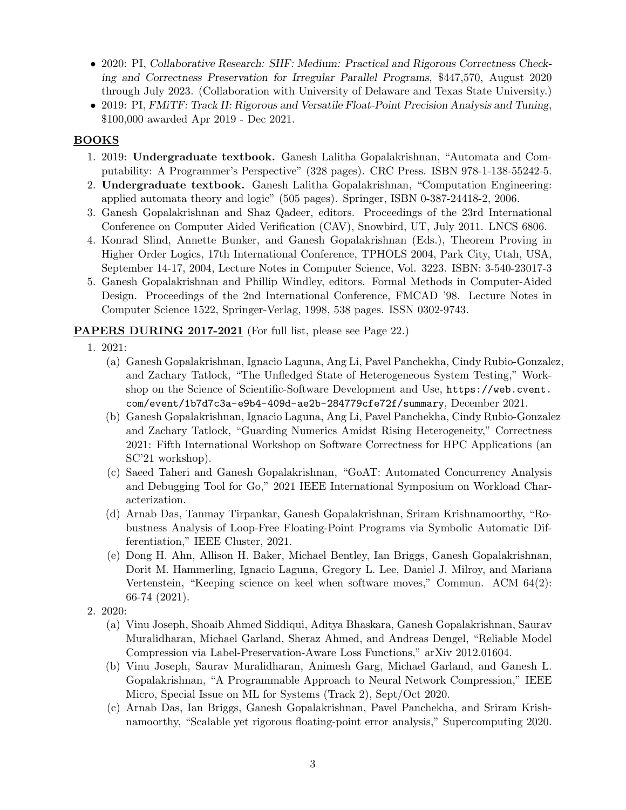- 2020: PI, Collaborative Research: SHF: Medium: Practical and Rigorous Correctness Checking and Correctness Preservation for Irregular Parallel Programs, \$447,570, August 2020 through July 2023. (Collaboration with University of Delaware and Texas State University.)
- 2019: PI, FMiTF: Track II: Rigorous and Versatile Float-Point Precision Analysis and Tuning, \$100,000 awarded Apr 2019 - Dec 2021.

## BOOKS

- 1. 2019: Undergraduate textbook. Ganesh Lalitha Gopalakrishnan, "Automata and Computability: A Programmer's Perspective" (328 pages). CRC Press. ISBN 978-1-138-55242-5.
- 2. Undergraduate textbook. Ganesh Lalitha Gopalakrishnan, "Computation Engineering: applied automata theory and logic" (505 pages). Springer, ISBN 0-387-24418-2, 2006.
- 3. Ganesh Gopalakrishnan and Shaz Qadeer, editors. Proceedings of the 23rd International Conference on Computer Aided Verification (CAV), Snowbird, UT, July 2011. LNCS 6806.
- 4. Konrad Slind, Annette Bunker, and Ganesh Gopalakrishnan (Eds.), Theorem Proving in Higher Order Logics, 17th International Conference, TPHOLS 2004, Park City, Utah, USA, September 14-17, 2004, Lecture Notes in Computer Science, Vol. 3223. ISBN: 3-540-23017-3
- 5. Ganesh Gopalakrishnan and Phillip Windley, editors. Formal Methods in Computer-Aided Design. Proceedings of the 2nd International Conference, FMCAD '98. Lecture Notes in Computer Science 1522, Springer-Verlag, 1998, 538 pages. ISSN 0302-9743.

## PAPERS DURING 2017-2021 (For full list, please see Page 22.)

- 1. 2021:
	- (a) Ganesh Gopalakrishnan, Ignacio Laguna, Ang Li, Pavel Panchekha, Cindy Rubio-Gonzalez, and Zachary Tatlock, "The Unfledged State of Heterogeneous System Testing," Workshop on the Science of Scientific-Software Development and Use, https://web.cvent. com/event/1b7d7c3a-e9b4-409d-ae2b-284779cfe72f/summary, December 2021.
	- (b) Ganesh Gopalakrishnan, Ignacio Laguna, Ang Li, Pavel Panchekha, Cindy Rubio-Gonzalez and Zachary Tatlock, "Guarding Numerics Amidst Rising Heterogeneity," Correctness 2021: Fifth International Workshop on Software Correctness for HPC Applications (an SC'21 workshop).
	- (c) Saeed Taheri and Ganesh Gopalakrishnan, "GoAT: Automated Concurrency Analysis and Debugging Tool for Go," 2021 IEEE International Symposium on Workload Characterization.
	- (d) Arnab Das, Tanmay Tirpankar, Ganesh Gopalakrishnan, Sriram Krishnamoorthy, "Robustness Analysis of Loop-Free Floating-Point Programs via Symbolic Automatic Differentiation," IEEE Cluster, 2021.
	- (e) Dong H. Ahn, Allison H. Baker, Michael Bentley, Ian Briggs, Ganesh Gopalakrishnan, Dorit M. Hammerling, Ignacio Laguna, Gregory L. Lee, Daniel J. Milroy, and Mariana Vertenstein, "Keeping science on keel when software moves," Commun. ACM 64(2): 66-74 (2021).
- 2. 2020:
	- (a) Vinu Joseph, Shoaib Ahmed Siddiqui, Aditya Bhaskara, Ganesh Gopalakrishnan, Saurav Muralidharan, Michael Garland, Sheraz Ahmed, and Andreas Dengel, "Reliable Model Compression via Label-Preservation-Aware Loss Functions," arXiv 2012.01604.
	- (b) Vinu Joseph, Saurav Muralidharan, Animesh Garg, Michael Garland, and Ganesh L. Gopalakrishnan, "A Programmable Approach to Neural Network Compression," IEEE Micro, Special Issue on ML for Systems (Track 2), Sept/Oct 2020.
	- (c) Arnab Das, Ian Briggs, Ganesh Gopalakrishnan, Pavel Panchekha, and Sriram Krishnamoorthy, "Scalable yet rigorous floating-point error analysis," Supercomputing 2020.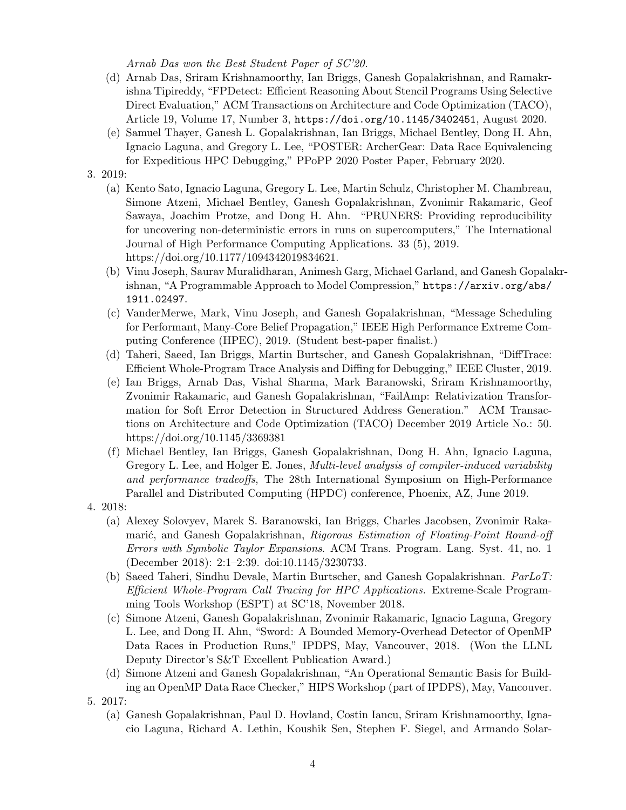Arnab Das won the Best Student Paper of SC'20.

- (d) Arnab Das, Sriram Krishnamoorthy, Ian Briggs, Ganesh Gopalakrishnan, and Ramakrishna Tipireddy, "FPDetect: Efficient Reasoning About Stencil Programs Using Selective Direct Evaluation," ACM Transactions on Architecture and Code Optimization (TACO), Article 19, Volume 17, Number 3, https://doi.org/10.1145/3402451, August 2020.
- (e) Samuel Thayer, Ganesh L. Gopalakrishnan, Ian Briggs, Michael Bentley, Dong H. Ahn, Ignacio Laguna, and Gregory L. Lee, "POSTER: ArcherGear: Data Race Equivalencing for Expeditious HPC Debugging," PPoPP 2020 Poster Paper, February 2020.

### 3. 2019:

- (a) Kento Sato, Ignacio Laguna, Gregory L. Lee, Martin Schulz, Christopher M. Chambreau, Simone Atzeni, Michael Bentley, Ganesh Gopalakrishnan, Zvonimir Rakamaric, Geof Sawaya, Joachim Protze, and Dong H. Ahn. "PRUNERS: Providing reproducibility for uncovering non-deterministic errors in runs on supercomputers," The International Journal of High Performance Computing Applications. 33 (5), 2019. https://doi.org/10.1177/1094342019834621.
- (b) Vinu Joseph, Saurav Muralidharan, Animesh Garg, Michael Garland, and Ganesh Gopalakrishnan, "A Programmable Approach to Model Compression," https://arxiv.org/abs/ 1911.02497.
- (c) VanderMerwe, Mark, Vinu Joseph, and Ganesh Gopalakrishnan, "Message Scheduling for Performant, Many-Core Belief Propagation," IEEE High Performance Extreme Computing Conference (HPEC), 2019. (Student best-paper finalist.)
- (d) Taheri, Saeed, Ian Briggs, Martin Burtscher, and Ganesh Gopalakrishnan, "DiffTrace: Efficient Whole-Program Trace Analysis and Diffing for Debugging," IEEE Cluster, 2019.
- (e) Ian Briggs, Arnab Das, Vishal Sharma, Mark Baranowski, Sriram Krishnamoorthy, Zvonimir Rakamaric, and Ganesh Gopalakrishnan, "FailAmp: Relativization Transformation for Soft Error Detection in Structured Address Generation." ACM Transactions on Architecture and Code Optimization (TACO) December 2019 Article No.: 50. https://doi.org/10.1145/3369381
- (f) Michael Bentley, Ian Briggs, Ganesh Gopalakrishnan, Dong H. Ahn, Ignacio Laguna, Gregory L. Lee, and Holger E. Jones, *Multi-level analysis of compiler-induced variability* and performance tradeoffs, The 28th International Symposium on High-Performance Parallel and Distributed Computing (HPDC) conference, Phoenix, AZ, June 2019.
- 4. 2018:
	- (a) Alexey Solovyev, Marek S. Baranowski, Ian Briggs, Charles Jacobsen, Zvonimir Rakamarić, and Ganesh Gopalakrishnan, Rigorous Estimation of Floating-Point Round-off Errors with Symbolic Taylor Expansions. ACM Trans. Program. Lang. Syst. 41, no. 1 (December 2018): 2:1–2:39. doi:10.1145/3230733.
	- (b) Saeed Taheri, Sindhu Devale, Martin Burtscher, and Ganesh Gopalakrishnan. ParLoT: Efficient Whole-Program Call Tracing for HPC Applications. Extreme-Scale Programming Tools Workshop (ESPT) at SC'18, November 2018.
	- (c) Simone Atzeni, Ganesh Gopalakrishnan, Zvonimir Rakamaric, Ignacio Laguna, Gregory L. Lee, and Dong H. Ahn, "Sword: A Bounded Memory-Overhead Detector of OpenMP Data Races in Production Runs," IPDPS, May, Vancouver, 2018. (Won the LLNL Deputy Director's S&T Excellent Publication Award.)
	- (d) Simone Atzeni and Ganesh Gopalakrishnan, "An Operational Semantic Basis for Building an OpenMP Data Race Checker," HIPS Workshop (part of IPDPS), May, Vancouver.
- 5. 2017:
	- (a) Ganesh Gopalakrishnan, Paul D. Hovland, Costin Iancu, Sriram Krishnamoorthy, Ignacio Laguna, Richard A. Lethin, Koushik Sen, Stephen F. Siegel, and Armando Solar-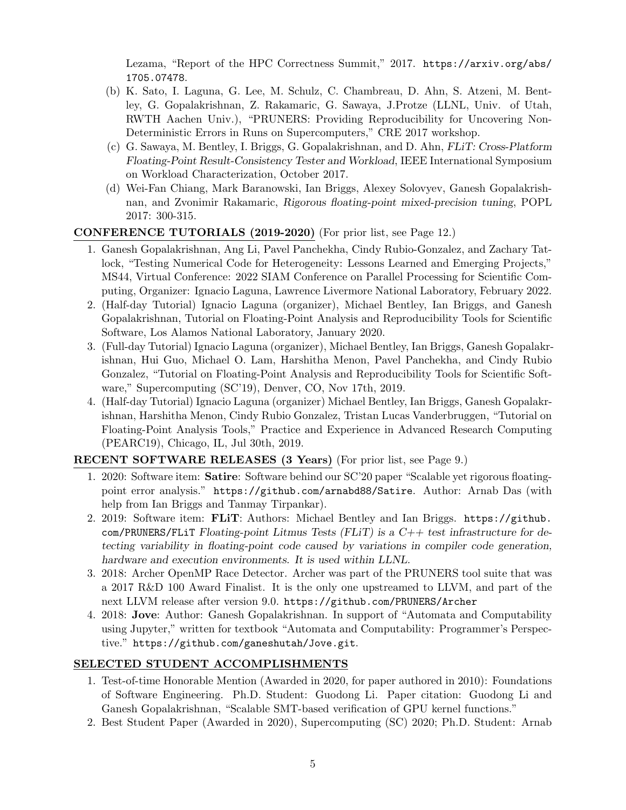Lezama, "Report of the HPC Correctness Summit," 2017. https://arxiv.org/abs/ 1705.07478.

- (b) K. Sato, I. Laguna, G. Lee, M. Schulz, C. Chambreau, D. Ahn, S. Atzeni, M. Bentley, G. Gopalakrishnan, Z. Rakamaric, G. Sawaya, J.Protze (LLNL, Univ. of Utah, RWTH Aachen Univ.), "PRUNERS: Providing Reproducibility for Uncovering Non-Deterministic Errors in Runs on Supercomputers," CRE 2017 workshop.
- (c) G. Sawaya, M. Bentley, I. Briggs, G. Gopalakrishnan, and D. Ahn, FLiT: Cross-Platform Floating-Point Result-Consistency Tester and Workload, IEEE International Symposium on Workload Characterization, October 2017.
- (d) Wei-Fan Chiang, Mark Baranowski, Ian Briggs, Alexey Solovyev, Ganesh Gopalakrishnan, and Zvonimir Rakamaric, Rigorous floating-point mixed-precision tuning, POPL 2017: 300-315.

## CONFERENCE TUTORIALS (2019-2020) (For prior list, see Page 12.)

- 1. Ganesh Gopalakrishnan, Ang Li, Pavel Panchekha, Cindy Rubio-Gonzalez, and Zachary Tatlock, "Testing Numerical Code for Heterogeneity: Lessons Learned and Emerging Projects," MS44, Virtual Conference: 2022 SIAM Conference on Parallel Processing for Scientific Computing, Organizer: Ignacio Laguna, Lawrence Livermore National Laboratory, February 2022.
- 2. (Half-day Tutorial) Ignacio Laguna (organizer), Michael Bentley, Ian Briggs, and Ganesh Gopalakrishnan, Tutorial on Floating-Point Analysis and Reproducibility Tools for Scientific Software, Los Alamos National Laboratory, January 2020.
- 3. (Full-day Tutorial) Ignacio Laguna (organizer), Michael Bentley, Ian Briggs, Ganesh Gopalakrishnan, Hui Guo, Michael O. Lam, Harshitha Menon, Pavel Panchekha, and Cindy Rubio Gonzalez, "Tutorial on Floating-Point Analysis and Reproducibility Tools for Scientific Software," Supercomputing (SC'19), Denver, CO, Nov 17th, 2019.
- 4. (Half-day Tutorial) Ignacio Laguna (organizer) Michael Bentley, Ian Briggs, Ganesh Gopalakrishnan, Harshitha Menon, Cindy Rubio Gonzalez, Tristan Lucas Vanderbruggen, "Tutorial on Floating-Point Analysis Tools," Practice and Experience in Advanced Research Computing (PEARC19), Chicago, IL, Jul 30th, 2019.

## RECENT SOFTWARE RELEASES (3 Years) (For prior list, see Page 9.)

- 1. 2020: Software item: Satire: Software behind our SC'20 paper "Scalable yet rigorous floatingpoint error analysis." https://github.com/arnabd88/Satire. Author: Arnab Das (with help from Ian Briggs and Tanmay Tirpankar).
- 2. 2019: Software item: FLiT: Authors: Michael Bentley and Ian Briggs. https://github. com/PRUNERS/FLiT Floating-point Litmus Tests (FLiT) is a  $C++$  test infrastructure for detecting variability in floating-point code caused by variations in compiler code generation, hardware and execution environments. It is used within LLNL.
- 3. 2018: Archer OpenMP Race Detector. Archer was part of the PRUNERS tool suite that was a 2017 R&D 100 Award Finalist. It is the only one upstreamed to LLVM, and part of the next LLVM release after version 9.0. https://github.com/PRUNERS/Archer
- 4. 2018: Jove: Author: Ganesh Gopalakrishnan. In support of "Automata and Computability using Jupyter," written for textbook "Automata and Computability: Programmer's Perspective." https://github.com/ganeshutah/Jove.git.

### SELECTED STUDENT ACCOMPLISHMENTS

- 1. Test-of-time Honorable Mention (Awarded in 2020, for paper authored in 2010): Foundations of Software Engineering. Ph.D. Student: Guodong Li. Paper citation: Guodong Li and Ganesh Gopalakrishnan, "Scalable SMT-based verification of GPU kernel functions."
- 2. Best Student Paper (Awarded in 2020), Supercomputing (SC) 2020; Ph.D. Student: Arnab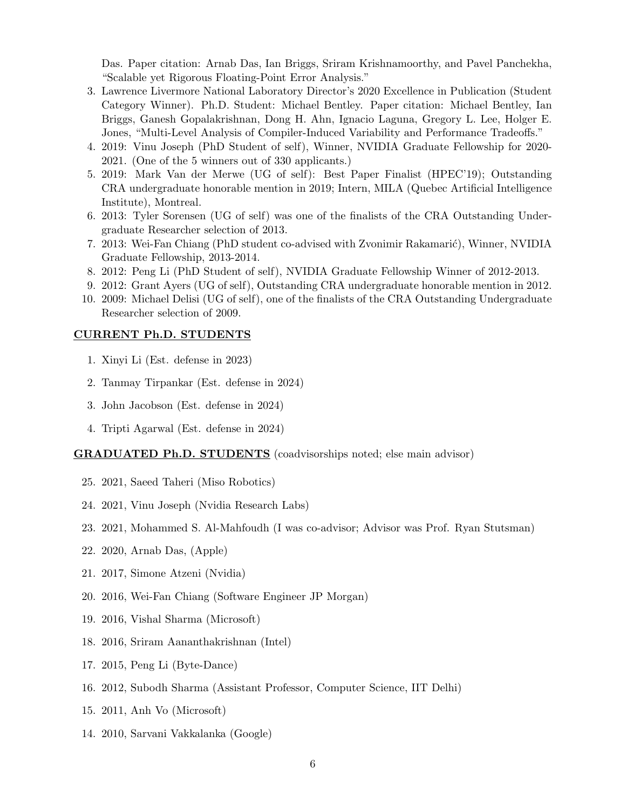Das. Paper citation: Arnab Das, Ian Briggs, Sriram Krishnamoorthy, and Pavel Panchekha, "Scalable yet Rigorous Floating-Point Error Analysis."

- 3. Lawrence Livermore National Laboratory Director's 2020 Excellence in Publication (Student Category Winner). Ph.D. Student: Michael Bentley. Paper citation: Michael Bentley, Ian Briggs, Ganesh Gopalakrishnan, Dong H. Ahn, Ignacio Laguna, Gregory L. Lee, Holger E. Jones, "Multi-Level Analysis of Compiler-Induced Variability and Performance Tradeoffs."
- 4. 2019: Vinu Joseph (PhD Student of self), Winner, NVIDIA Graduate Fellowship for 2020- 2021. (One of the 5 winners out of 330 applicants.)
- 5. 2019: Mark Van der Merwe (UG of self): Best Paper Finalist (HPEC'19); Outstanding CRA undergraduate honorable mention in 2019; Intern, MILA (Quebec Artificial Intelligence Institute), Montreal.
- 6. 2013: Tyler Sorensen (UG of self) was one of the finalists of the CRA Outstanding Undergraduate Researcher selection of 2013.
- 7. 2013: Wei-Fan Chiang (PhD student co-advised with Zvonimir Rakamarić), Winner, NVIDIA Graduate Fellowship, 2013-2014.
- 8. 2012: Peng Li (PhD Student of self), NVIDIA Graduate Fellowship Winner of 2012-2013.
- 9. 2012: Grant Ayers (UG of self), Outstanding CRA undergraduate honorable mention in 2012.
- 10. 2009: Michael Delisi (UG of self), one of the finalists of the CRA Outstanding Undergraduate Researcher selection of 2009.

#### CURRENT Ph.D. STUDENTS

- 1. Xinyi Li (Est. defense in 2023)
- 2. Tanmay Tirpankar (Est. defense in 2024)
- 3. John Jacobson (Est. defense in 2024)
- 4. Tripti Agarwal (Est. defense in 2024)

#### GRADUATED Ph.D. STUDENTS (coadvisorships noted; else main advisor)

- 25. 2021, Saeed Taheri (Miso Robotics)
- 24. 2021, Vinu Joseph (Nvidia Research Labs)
- 23. 2021, Mohammed S. Al-Mahfoudh (I was co-advisor; Advisor was Prof. Ryan Stutsman)
- 22. 2020, Arnab Das, (Apple)
- 21. 2017, Simone Atzeni (Nvidia)
- 20. 2016, Wei-Fan Chiang (Software Engineer JP Morgan)
- 19. 2016, Vishal Sharma (Microsoft)
- 18. 2016, Sriram Aananthakrishnan (Intel)
- 17. 2015, Peng Li (Byte-Dance)
- 16. 2012, Subodh Sharma (Assistant Professor, Computer Science, IIT Delhi)
- 15. 2011, Anh Vo (Microsoft)
- 14. 2010, Sarvani Vakkalanka (Google)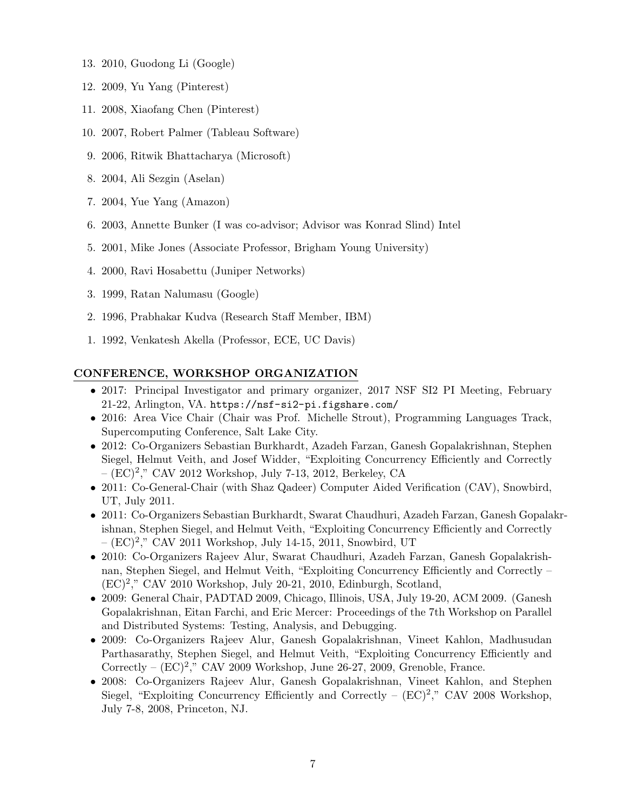- 13. 2010, Guodong Li (Google)
- 12. 2009, Yu Yang (Pinterest)
- 11. 2008, Xiaofang Chen (Pinterest)
- 10. 2007, Robert Palmer (Tableau Software)
- 9. 2006, Ritwik Bhattacharya (Microsoft)
- 8. 2004, Ali Sezgin (Aselan)
- 7. 2004, Yue Yang (Amazon)
- 6. 2003, Annette Bunker (I was co-advisor; Advisor was Konrad Slind) Intel
- 5. 2001, Mike Jones (Associate Professor, Brigham Young University)
- 4. 2000, Ravi Hosabettu (Juniper Networks)
- 3. 1999, Ratan Nalumasu (Google)
- 2. 1996, Prabhakar Kudva (Research Staff Member, IBM)
- 1. 1992, Venkatesh Akella (Professor, ECE, UC Davis)

## CONFERENCE, WORKSHOP ORGANIZATION

- 2017: Principal Investigator and primary organizer, 2017 NSF SI2 PI Meeting, February 21-22, Arlington, VA. https://nsf-si2-pi.figshare.com/
- 2016: Area Vice Chair (Chair was Prof. Michelle Strout), Programming Languages Track, Supercomputing Conference, Salt Lake City.
- 2012: Co-Organizers Sebastian Burkhardt, Azadeh Farzan, Ganesh Gopalakrishnan, Stephen Siegel, Helmut Veith, and Josef Widder, "Exploiting Concurrency Efficiently and Correctly – (EC)<sup>2</sup> ," CAV 2012 Workshop, July 7-13, 2012, Berkeley, CA
- 2011: Co-General-Chair (with Shaz Qadeer) Computer Aided Verification (CAV), Snowbird, UT, July 2011.
- 2011: Co-Organizers Sebastian Burkhardt, Swarat Chaudhuri, Azadeh Farzan, Ganesh Gopalakrishnan, Stephen Siegel, and Helmut Veith, "Exploiting Concurrency Efficiently and Correctly  $(EC)^2$ ," CAV 2011 Workshop, July 14-15, 2011, Snowbird, UT
- 2010: Co-Organizers Rajeev Alur, Swarat Chaudhuri, Azadeh Farzan, Ganesh Gopalakrishnan, Stephen Siegel, and Helmut Veith, "Exploiting Concurrency Efficiently and Correctly – (EC)<sup>2</sup> ," CAV 2010 Workshop, July 20-21, 2010, Edinburgh, Scotland,
- 2009: General Chair, PADTAD 2009, Chicago, Illinois, USA, July 19-20, ACM 2009. (Ganesh Gopalakrishnan, Eitan Farchi, and Eric Mercer: Proceedings of the 7th Workshop on Parallel and Distributed Systems: Testing, Analysis, and Debugging.
- 2009: Co-Organizers Rajeev Alur, Ganesh Gopalakrishnan, Vineet Kahlon, Madhusudan Parthasarathy, Stephen Siegel, and Helmut Veith, "Exploiting Concurrency Efficiently and Correctly –  $(EC)^2$ ," CAV 2009 Workshop, June 26-27, 2009, Grenoble, France.
- 2008: Co-Organizers Rajeev Alur, Ganesh Gopalakrishnan, Vineet Kahlon, and Stephen Siegel, "Exploiting Concurrency Efficiently and Correctly –  $(EC)^2$ ," CAV 2008 Workshop, July 7-8, 2008, Princeton, NJ.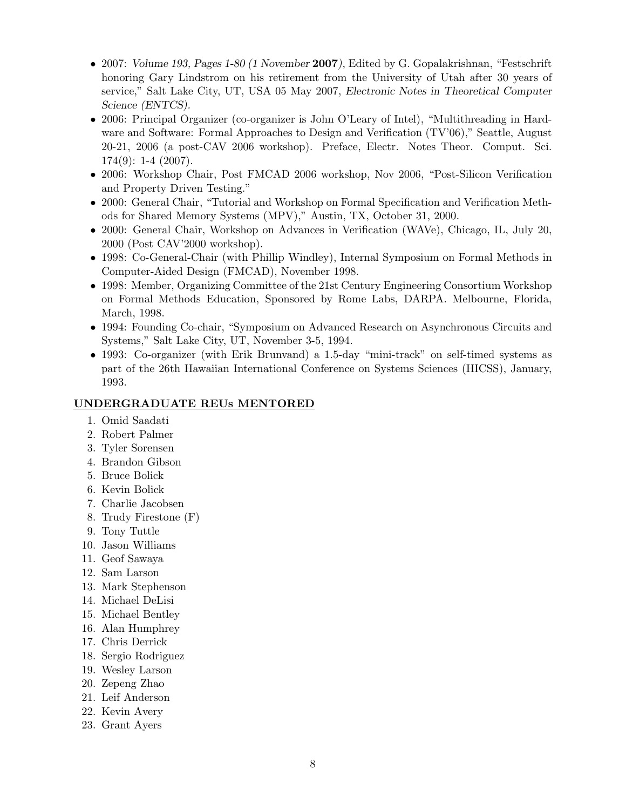- 2007: Volume 193, Pages 1-80 (1 November 2007), Edited by G. Gopalakrishnan, "Festschrift" honoring Gary Lindstrom on his retirement from the University of Utah after 30 years of service," Salt Lake City, UT, USA 05 May 2007, Electronic Notes in Theoretical Computer Science (ENTCS).
- 2006: Principal Organizer (co-organizer is John O'Leary of Intel), "Multithreading in Hardware and Software: Formal Approaches to Design and Verification (TV'06)," Seattle, August 20-21, 2006 (a post-CAV 2006 workshop). Preface, Electr. Notes Theor. Comput. Sci.  $174(9)$ : 1-4  $(2007)$ .
- 2006: Workshop Chair, Post FMCAD 2006 workshop, Nov 2006, "Post-Silicon Verification and Property Driven Testing."
- 2000: General Chair, "Tutorial and Workshop on Formal Specification and Verification Methods for Shared Memory Systems (MPV)," Austin, TX, October 31, 2000.
- 2000: General Chair, Workshop on Advances in Verification (WAVe), Chicago, IL, July 20, 2000 (Post CAV'2000 workshop).
- 1998: Co-General-Chair (with Phillip Windley), Internal Symposium on Formal Methods in Computer-Aided Design (FMCAD), November 1998.
- 1998: Member, Organizing Committee of the 21st Century Engineering Consortium Workshop on Formal Methods Education, Sponsored by Rome Labs, DARPA. Melbourne, Florida, March, 1998.
- 1994: Founding Co-chair, "Symposium on Advanced Research on Asynchronous Circuits and Systems," Salt Lake City, UT, November 3-5, 1994.
- 1993: Co-organizer (with Erik Brunvand) a 1.5-day "mini-track" on self-timed systems as part of the 26th Hawaiian International Conference on Systems Sciences (HICSS), January, 1993.

#### UNDERGRADUATE REUs MENTORED

- 1. Omid Saadati
- 2. Robert Palmer
- 3. Tyler Sorensen
- 4. Brandon Gibson
- 5. Bruce Bolick
- 6. Kevin Bolick
- 7. Charlie Jacobsen
- 8. Trudy Firestone (F)
- 9. Tony Tuttle
- 10. Jason Williams
- 11. Geof Sawaya
- 12. Sam Larson
- 13. Mark Stephenson
- 14. Michael DeLisi
- 15. Michael Bentley
- 16. Alan Humphrey
- 17. Chris Derrick
- 18. Sergio Rodriguez
- 19. Wesley Larson
- 20. Zepeng Zhao
- 21. Leif Anderson
- 22. Kevin Avery
- 23. Grant Ayers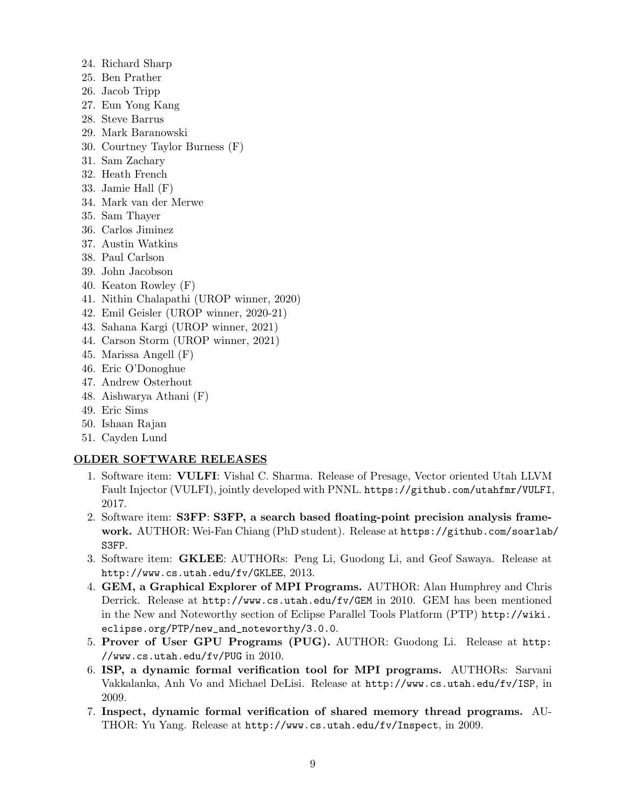- 24. Richard Sharp
- 25. Ben Prather
- 26. Jacob Tripp
- 27. Eun Yong Kang
- 28. Steve Barrus
- 29. Mark Baranowski
- 30. Courtney Taylor Burness (F)
- 31. Sam Zachary
- 32. Heath French
- 33. Jamie Hall (F)
- 34. Mark van der Merwe
- 35. Sam Thayer
- 36. Carlos Jiminez
- 37. Austin Watkins
- 38. Paul Carlson
- 39. John Jacobson
- 40. Keaton Rowley (F)
- 41. Nithin Chalapathi (UROP winner, 2020)
- 42. Emil Geisler (UROP winner, 2020-21)
- 43. Sahana Kargi (UROP winner, 2021)
- 44. Carson Storm (UROP winner, 2021)
- 45. Marissa Angell (F)
- 46. Eric O'Donoghue
- 47. Andrew Osterhout
- 48. Aishwarya Athani (F)
- 49. Eric Sims
- 50. Ishaan Rajan
- 51. Cayden Lund

#### OLDER SOFTWARE RELEASES

- 1. Software item: VULFI: Vishal C. Sharma. Release of Presage, Vector oriented Utah LLVM Fault Injector (VULFI), jointly developed with PNNL. https://github.com/utahfmr/VULFI, 2017.
- 2. Software item: S3FP: S3FP, a search based floating-point precision analysis framework. AUTHOR: Wei-Fan Chiang (PhD student). Release at https://github.com/soarlab/ S3FP.
- 3. Software item: GKLEE: AUTHORs: Peng Li, Guodong Li, and Geof Sawaya. Release at http://www.cs.utah.edu/fv/GKLEE, 2013.
- 4. GEM, a Graphical Explorer of MPI Programs. AUTHOR: Alan Humphrey and Chris Derrick. Release at http://www.cs.utah.edu/fv/GEM in 2010. GEM has been mentioned in the New and Noteworthy section of Eclipse Parallel Tools Platform (PTP) http://wiki. eclipse.org/PTP/new\_and\_noteworthy/3.0.0.
- 5. Prover of User GPU Programs (PUG). AUTHOR: Guodong Li. Release at http: //www.cs.utah.edu/fv/PUG in 2010.
- 6. ISP, a dynamic formal verification tool for MPI programs. AUTHORs: Sarvani Vakkalanka, Anh Vo and Michael DeLisi. Release at http://www.cs.utah.edu/fv/ISP, in 2009.
- 7. Inspect, dynamic formal verification of shared memory thread programs. AU-THOR: Yu Yang. Release at http://www.cs.utah.edu/fv/Inspect, in 2009.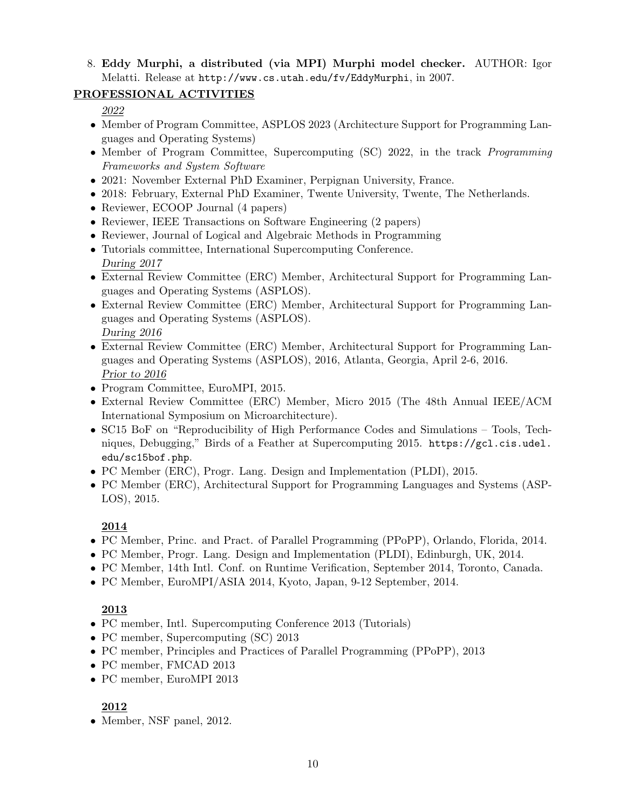8. Eddy Murphi, a distributed (via MPI) Murphi model checker. AUTHOR: Igor Melatti. Release at http://www.cs.utah.edu/fv/EddyMurphi, in 2007.

## PROFESSIONAL ACTIVITIES

2022

- Member of Program Committee, ASPLOS 2023 (Architecture Support for Programming Languages and Operating Systems)
- Member of Program Committee, Supercomputing (SC) 2022, in the track *Programming* Frameworks and System Software
- 2021: November External PhD Examiner, Perpignan University, France.
- 2018: February, External PhD Examiner, Twente University, Twente, The Netherlands.
- Reviewer, ECOOP Journal (4 papers)
- Reviewer, IEEE Transactions on Software Engineering (2 papers)
- Reviewer, Journal of Logical and Algebraic Methods in Programming
- Tutorials committee, International Supercomputing Conference. During 2017
- External Review Committee (ERC) Member, Architectural Support for Programming Languages and Operating Systems (ASPLOS).
- External Review Committee (ERC) Member, Architectural Support for Programming Languages and Operating Systems (ASPLOS). During 2016
- External Review Committee (ERC) Member, Architectural Support for Programming Languages and Operating Systems (ASPLOS), 2016, Atlanta, Georgia, April 2-6, 2016. Prior to 2016
- Program Committee, EuroMPI, 2015.
- External Review Committee (ERC) Member, Micro 2015 (The 48th Annual IEEE/ACM International Symposium on Microarchitecture).
- SC15 BoF on "Reproducibility of High Performance Codes and Simulations Tools, Techniques, Debugging," Birds of a Feather at Supercomputing 2015. https://gcl.cis.udel. edu/sc15bof.php.
- PC Member (ERC), Progr. Lang. Design and Implementation (PLDI), 2015.
- PC Member (ERC), Architectural Support for Programming Languages and Systems (ASP-LOS), 2015.

## 2014

- PC Member, Princ. and Pract. of Parallel Programming (PPoPP), Orlando, Florida, 2014.
- PC Member, Progr. Lang. Design and Implementation (PLDI), Edinburgh, UK, 2014.
- PC Member, 14th Intl. Conf. on Runtime Verification, September 2014, Toronto, Canada.
- PC Member, EuroMPI/ASIA 2014, Kyoto, Japan, 9-12 September, 2014.

# 2013

- PC member, Intl. Supercomputing Conference 2013 (Tutorials)
- PC member, Supercomputing (SC) 2013
- PC member, Principles and Practices of Parallel Programming (PPoPP), 2013
- PC member, FMCAD 2013
- PC member, EuroMPI 2013

# 2012

• Member, NSF panel, 2012.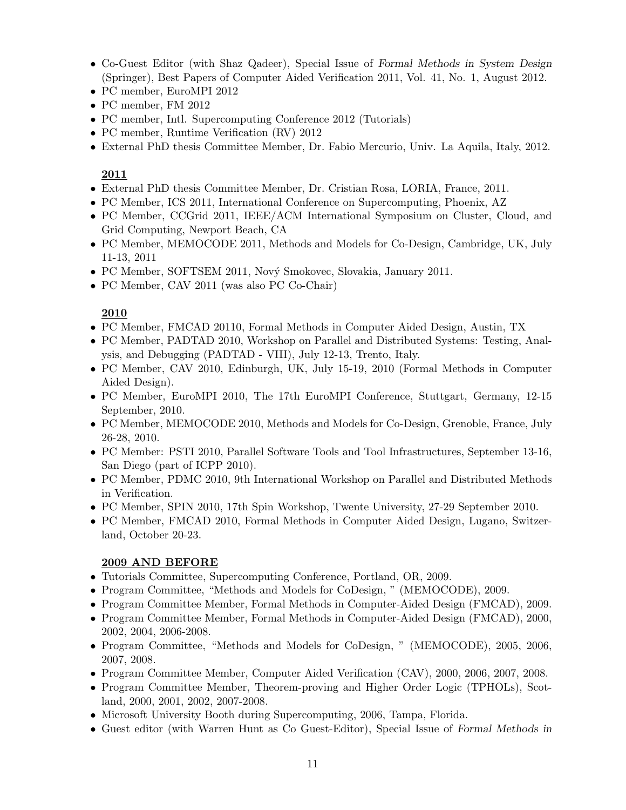- Co-Guest Editor (with Shaz Qadeer), Special Issue of Formal Methods in System Design (Springer), Best Papers of Computer Aided Verification 2011, Vol. 41, No. 1, August 2012.
- PC member, EuroMPI 2012
- PC member, FM 2012
- PC member, Intl. Supercomputing Conference 2012 (Tutorials)
- PC member, Runtime Verification (RV) 2012
- External PhD thesis Committee Member, Dr. Fabio Mercurio, Univ. La Aquila, Italy, 2012.

### 2011

- External PhD thesis Committee Member, Dr. Cristian Rosa, LORIA, France, 2011.
- PC Member, ICS 2011, International Conference on Supercomputing, Phoenix, AZ
- PC Member, CCGrid 2011, IEEE/ACM International Symposium on Cluster, Cloud, and Grid Computing, Newport Beach, CA
- PC Member, MEMOCODE 2011, Methods and Models for Co-Design, Cambridge, UK, July 11-13, 2011
- PC Member, SOFTSEM 2011, Nový Smokovec, Slovakia, January 2011.
- PC Member, CAV 2011 (was also PC Co-Chair)

## 2010

- PC Member, FMCAD 20110, Formal Methods in Computer Aided Design, Austin, TX
- PC Member, PADTAD 2010, Workshop on Parallel and Distributed Systems: Testing, Analysis, and Debugging (PADTAD - VIII), July 12-13, Trento, Italy.
- PC Member, CAV 2010, Edinburgh, UK, July 15-19, 2010 (Formal Methods in Computer Aided Design).
- PC Member, EuroMPI 2010, The 17th EuroMPI Conference, Stuttgart, Germany, 12-15 September, 2010.
- PC Member, MEMOCODE 2010, Methods and Models for Co-Design, Grenoble, France, July 26-28, 2010.
- PC Member: PSTI 2010, Parallel Software Tools and Tool Infrastructures, September 13-16, San Diego (part of ICPP 2010).
- PC Member, PDMC 2010, 9th International Workshop on Parallel and Distributed Methods in Verification.
- PC Member, SPIN 2010, 17th Spin Workshop, Twente University, 27-29 September 2010.
- PC Member, FMCAD 2010, Formal Methods in Computer Aided Design, Lugano, Switzerland, October 20-23.

### 2009 AND BEFORE

- Tutorials Committee, Supercomputing Conference, Portland, OR, 2009.
- Program Committee, "Methods and Models for CoDesign, " (MEMOCODE), 2009.
- Program Committee Member, Formal Methods in Computer-Aided Design (FMCAD), 2009.
- Program Committee Member, Formal Methods in Computer-Aided Design (FMCAD), 2000, 2002, 2004, 2006-2008.
- Program Committee, "Methods and Models for CoDesign, " (MEMOCODE), 2005, 2006, 2007, 2008.
- Program Committee Member, Computer Aided Verification (CAV), 2000, 2006, 2007, 2008.
- Program Committee Member, Theorem-proving and Higher Order Logic (TPHOLs), Scotland, 2000, 2001, 2002, 2007-2008.
- Microsoft University Booth during Supercomputing, 2006, Tampa, Florida.
- Guest editor (with Warren Hunt as Co Guest-Editor), Special Issue of Formal Methods in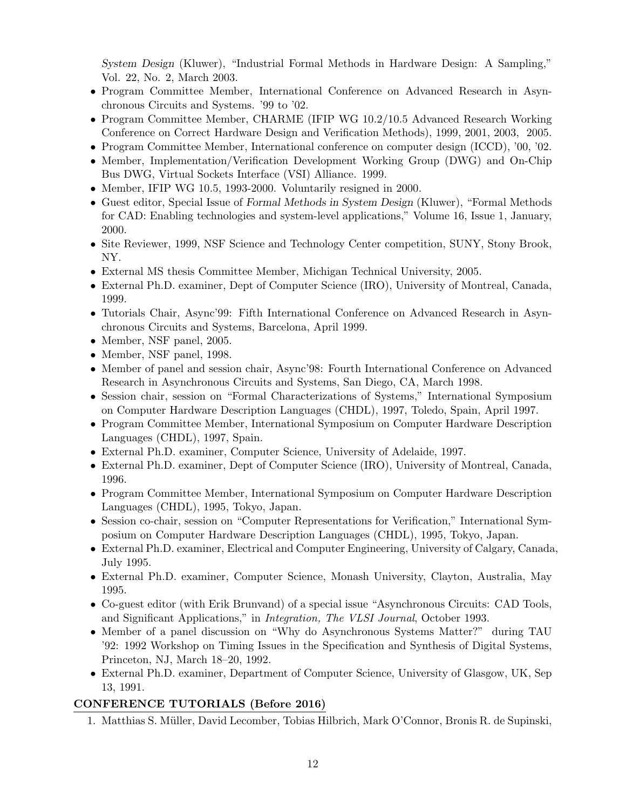System Design (Kluwer), "Industrial Formal Methods in Hardware Design: A Sampling," Vol. 22, No. 2, March 2003.

- Program Committee Member, International Conference on Advanced Research in Asynchronous Circuits and Systems. '99 to '02.
- Program Committee Member, CHARME (IFIP WG 10.2/10.5 Advanced Research Working Conference on Correct Hardware Design and Verification Methods), 1999, 2001, 2003, 2005.
- Program Committee Member, International conference on computer design (ICCD), '00, '02.
- Member, Implementation/Verification Development Working Group (DWG) and On-Chip Bus DWG, Virtual Sockets Interface (VSI) Alliance. 1999.
- Member, IFIP WG 10.5, 1993-2000. Voluntarily resigned in 2000.
- Guest editor, Special Issue of Formal Methods in System Design (Kluwer), "Formal Methods for CAD: Enabling technologies and system-level applications," Volume 16, Issue 1, January, 2000.
- Site Reviewer, 1999, NSF Science and Technology Center competition, SUNY, Stony Brook, NY.
- External MS thesis Committee Member, Michigan Technical University, 2005.
- External Ph.D. examiner, Dept of Computer Science (IRO), University of Montreal, Canada, 1999.
- Tutorials Chair, Async'99: Fifth International Conference on Advanced Research in Asynchronous Circuits and Systems, Barcelona, April 1999.
- Member, NSF panel, 2005.
- Member, NSF panel, 1998.
- Member of panel and session chair, Async'98: Fourth International Conference on Advanced Research in Asynchronous Circuits and Systems, San Diego, CA, March 1998.
- Session chair, session on "Formal Characterizations of Systems," International Symposium on Computer Hardware Description Languages (CHDL), 1997, Toledo, Spain, April 1997.
- Program Committee Member, International Symposium on Computer Hardware Description Languages (CHDL), 1997, Spain.
- External Ph.D. examiner, Computer Science, University of Adelaide, 1997.
- External Ph.D. examiner, Dept of Computer Science (IRO), University of Montreal, Canada, 1996.
- Program Committee Member, International Symposium on Computer Hardware Description Languages (CHDL), 1995, Tokyo, Japan.
- Session co-chair, session on "Computer Representations for Verification," International Symposium on Computer Hardware Description Languages (CHDL), 1995, Tokyo, Japan.
- External Ph.D. examiner, Electrical and Computer Engineering, University of Calgary, Canada, July 1995.
- External Ph.D. examiner, Computer Science, Monash University, Clayton, Australia, May 1995.
- Co-guest editor (with Erik Brunvand) of a special issue "Asynchronous Circuits: CAD Tools, and Significant Applications," in Integration, The VLSI Journal, October 1993.
- Member of a panel discussion on "Why do Asynchronous Systems Matter?" during TAU '92: 1992 Workshop on Timing Issues in the Specification and Synthesis of Digital Systems, Princeton, NJ, March 18–20, 1992.
- External Ph.D. examiner, Department of Computer Science, University of Glasgow, UK, Sep 13, 1991.

# CONFERENCE TUTORIALS (Before 2016)

1. Matthias S. Müller, David Lecomber, Tobias Hilbrich, Mark O'Connor, Bronis R. de Supinski,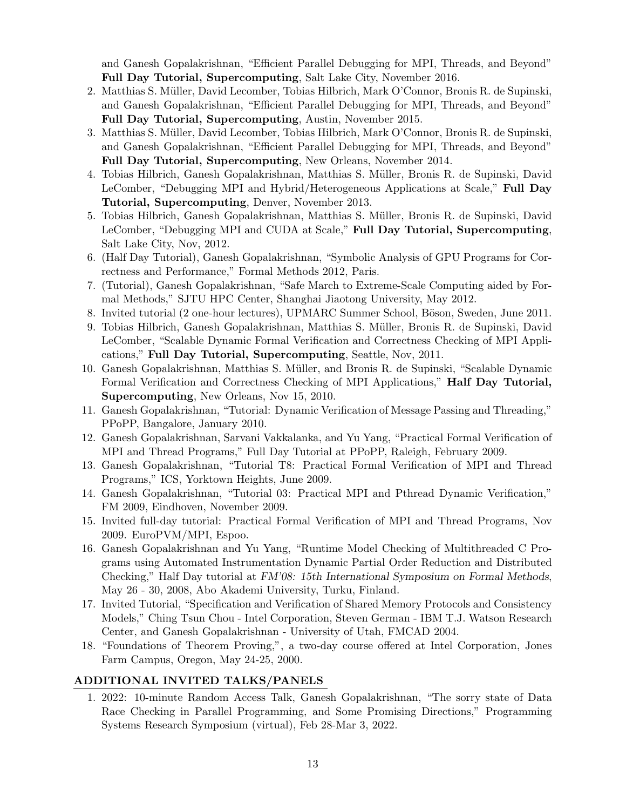and Ganesh Gopalakrishnan, "Efficient Parallel Debugging for MPI, Threads, and Beyond" Full Day Tutorial, Supercomputing, Salt Lake City, November 2016.

- 2. Matthias S. Müller, David Lecomber, Tobias Hilbrich, Mark O'Connor, Bronis R. de Supinski, and Ganesh Gopalakrishnan, "Efficient Parallel Debugging for MPI, Threads, and Beyond" Full Day Tutorial, Supercomputing, Austin, November 2015.
- 3. Matthias S. Müller, David Lecomber, Tobias Hilbrich, Mark O'Connor, Bronis R. de Supinski, and Ganesh Gopalakrishnan, "Efficient Parallel Debugging for MPI, Threads, and Beyond" Full Day Tutorial, Supercomputing, New Orleans, November 2014.
- 4. Tobias Hilbrich, Ganesh Gopalakrishnan, Matthias S. M¨uller, Bronis R. de Supinski, David LeComber, "Debugging MPI and Hybrid/Heterogeneous Applications at Scale," Full Day Tutorial, Supercomputing, Denver, November 2013.
- 5. Tobias Hilbrich, Ganesh Gopalakrishnan, Matthias S. Müller, Bronis R. de Supinski, David LeComber, "Debugging MPI and CUDA at Scale," Full Day Tutorial, Supercomputing, Salt Lake City, Nov, 2012.
- 6. (Half Day Tutorial), Ganesh Gopalakrishnan, "Symbolic Analysis of GPU Programs for Correctness and Performance," Formal Methods 2012, Paris.
- 7. (Tutorial), Ganesh Gopalakrishnan, "Safe March to Extreme-Scale Computing aided by Formal Methods," SJTU HPC Center, Shanghai Jiaotong University, May 2012.
- 8. Invited tutorial (2 one-hour lectures), UPMARC Summer School, Böson, Sweden, June 2011.
- 9. Tobias Hilbrich, Ganesh Gopalakrishnan, Matthias S. M¨uller, Bronis R. de Supinski, David LeComber, "Scalable Dynamic Formal Verification and Correctness Checking of MPI Applications," Full Day Tutorial, Supercomputing, Seattle, Nov, 2011.
- 10. Ganesh Gopalakrishnan, Matthias S. Müller, and Bronis R. de Supinski, "Scalable Dynamic Formal Verification and Correctness Checking of MPI Applications," Half Day Tutorial, Supercomputing, New Orleans, Nov 15, 2010.
- 11. Ganesh Gopalakrishnan, "Tutorial: Dynamic Verification of Message Passing and Threading," PPoPP, Bangalore, January 2010.
- 12. Ganesh Gopalakrishnan, Sarvani Vakkalanka, and Yu Yang, "Practical Formal Verification of MPI and Thread Programs," Full Day Tutorial at PPoPP, Raleigh, February 2009.
- 13. Ganesh Gopalakrishnan, "Tutorial T8: Practical Formal Verification of MPI and Thread Programs," ICS, Yorktown Heights, June 2009.
- 14. Ganesh Gopalakrishnan, "Tutorial 03: Practical MPI and Pthread Dynamic Verification," FM 2009, Eindhoven, November 2009.
- 15. Invited full-day tutorial: Practical Formal Verification of MPI and Thread Programs, Nov 2009. EuroPVM/MPI, Espoo.
- 16. Ganesh Gopalakrishnan and Yu Yang, "Runtime Model Checking of Multithreaded C Programs using Automated Instrumentation Dynamic Partial Order Reduction and Distributed Checking," Half Day tutorial at FM'08: 15th International Symposium on Formal Methods, May 26 - 30, 2008, Abo Akademi University, Turku, Finland.
- 17. Invited Tutorial, "Specification and Verification of Shared Memory Protocols and Consistency Models," Ching Tsun Chou - Intel Corporation, Steven German - IBM T.J. Watson Research Center, and Ganesh Gopalakrishnan - University of Utah, FMCAD 2004.
- 18. "Foundations of Theorem Proving,", a two-day course offered at Intel Corporation, Jones Farm Campus, Oregon, May 24-25, 2000.

## ADDITIONAL INVITED TALKS/PANELS

1. 2022: 10-minute Random Access Talk, Ganesh Gopalakrishnan, "The sorry state of Data Race Checking in Parallel Programming, and Some Promising Directions," Programming Systems Research Symposium (virtual), Feb 28-Mar 3, 2022.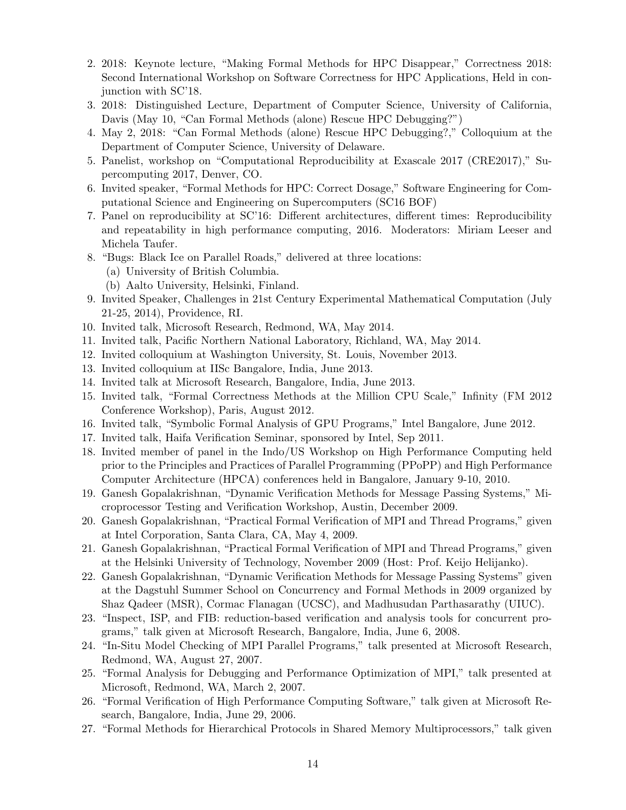- 2. 2018: Keynote lecture, "Making Formal Methods for HPC Disappear," Correctness 2018: Second International Workshop on Software Correctness for HPC Applications, Held in conjunction with SC'18.
- 3. 2018: Distinguished Lecture, Department of Computer Science, University of California, Davis (May 10, "Can Formal Methods (alone) Rescue HPC Debugging?")
- 4. May 2, 2018: "Can Formal Methods (alone) Rescue HPC Debugging?," Colloquium at the Department of Computer Science, University of Delaware.
- 5. Panelist, workshop on "Computational Reproducibility at Exascale 2017 (CRE2017)," Supercomputing 2017, Denver, CO.
- 6. Invited speaker, "Formal Methods for HPC: Correct Dosage," Software Engineering for Computational Science and Engineering on Supercomputers (SC16 BOF)
- 7. Panel on reproducibility at SC'16: Different architectures, different times: Reproducibility and repeatability in high performance computing, 2016. Moderators: Miriam Leeser and Michela Taufer.
- 8. "Bugs: Black Ice on Parallel Roads," delivered at three locations:
	- (a) University of British Columbia.
	- (b) Aalto University, Helsinki, Finland.
- 9. Invited Speaker, Challenges in 21st Century Experimental Mathematical Computation (July 21-25, 2014), Providence, RI.
- 10. Invited talk, Microsoft Research, Redmond, WA, May 2014.
- 11. Invited talk, Pacific Northern National Laboratory, Richland, WA, May 2014.
- 12. Invited colloquium at Washington University, St. Louis, November 2013.
- 13. Invited colloquium at IISc Bangalore, India, June 2013.
- 14. Invited talk at Microsoft Research, Bangalore, India, June 2013.
- 15. Invited talk, "Formal Correctness Methods at the Million CPU Scale," Infinity (FM 2012 Conference Workshop), Paris, August 2012.
- 16. Invited talk, "Symbolic Formal Analysis of GPU Programs," Intel Bangalore, June 2012.
- 17. Invited talk, Haifa Verification Seminar, sponsored by Intel, Sep 2011.
- 18. Invited member of panel in the Indo/US Workshop on High Performance Computing held prior to the Principles and Practices of Parallel Programming (PPoPP) and High Performance Computer Architecture (HPCA) conferences held in Bangalore, January 9-10, 2010.
- 19. Ganesh Gopalakrishnan, "Dynamic Verification Methods for Message Passing Systems," Microprocessor Testing and Verification Workshop, Austin, December 2009.
- 20. Ganesh Gopalakrishnan, "Practical Formal Verification of MPI and Thread Programs," given at Intel Corporation, Santa Clara, CA, May 4, 2009.
- 21. Ganesh Gopalakrishnan, "Practical Formal Verification of MPI and Thread Programs," given at the Helsinki University of Technology, November 2009 (Host: Prof. Keijo Helijanko).
- 22. Ganesh Gopalakrishnan, "Dynamic Verification Methods for Message Passing Systems" given at the Dagstuhl Summer School on Concurrency and Formal Methods in 2009 organized by Shaz Qadeer (MSR), Cormac Flanagan (UCSC), and Madhusudan Parthasarathy (UIUC).
- 23. "Inspect, ISP, and FIB: reduction-based verification and analysis tools for concurrent programs," talk given at Microsoft Research, Bangalore, India, June 6, 2008.
- 24. "In-Situ Model Checking of MPI Parallel Programs," talk presented at Microsoft Research, Redmond, WA, August 27, 2007.
- 25. "Formal Analysis for Debugging and Performance Optimization of MPI," talk presented at Microsoft, Redmond, WA, March 2, 2007.
- 26. "Formal Verification of High Performance Computing Software," talk given at Microsoft Research, Bangalore, India, June 29, 2006.
- 27. "Formal Methods for Hierarchical Protocols in Shared Memory Multiprocessors," talk given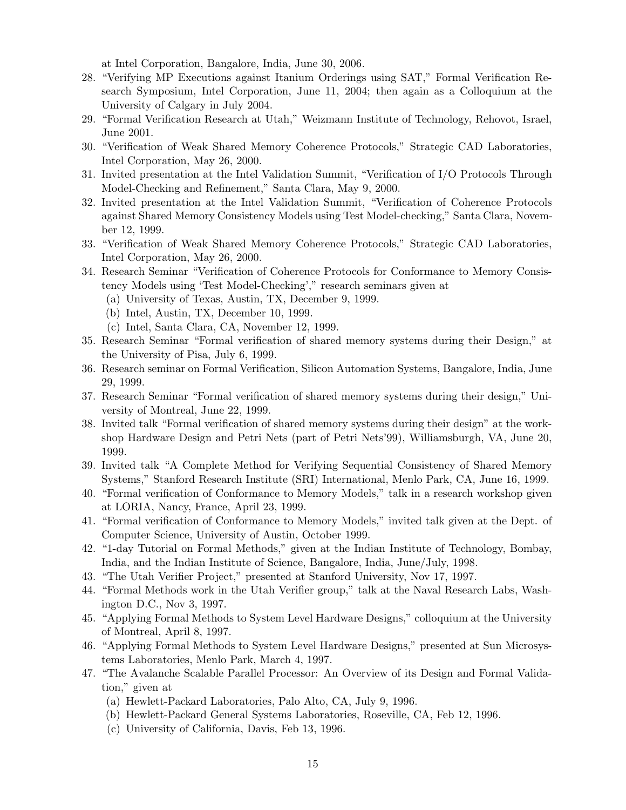at Intel Corporation, Bangalore, India, June 30, 2006.

- 28. "Verifying MP Executions against Itanium Orderings using SAT," Formal Verification Research Symposium, Intel Corporation, June 11, 2004; then again as a Colloquium at the University of Calgary in July 2004.
- 29. "Formal Verification Research at Utah," Weizmann Institute of Technology, Rehovot, Israel, June 2001.
- 30. "Verification of Weak Shared Memory Coherence Protocols," Strategic CAD Laboratories, Intel Corporation, May 26, 2000.
- 31. Invited presentation at the Intel Validation Summit, "Verification of I/O Protocols Through Model-Checking and Refinement," Santa Clara, May 9, 2000.
- 32. Invited presentation at the Intel Validation Summit, "Verification of Coherence Protocols against Shared Memory Consistency Models using Test Model-checking," Santa Clara, November 12, 1999.
- 33. "Verification of Weak Shared Memory Coherence Protocols," Strategic CAD Laboratories, Intel Corporation, May 26, 2000.
- 34. Research Seminar "Verification of Coherence Protocols for Conformance to Memory Consistency Models using 'Test Model-Checking'," research seminars given at
	- (a) University of Texas, Austin, TX, December 9, 1999.
	- (b) Intel, Austin, TX, December 10, 1999.
	- (c) Intel, Santa Clara, CA, November 12, 1999.
- 35. Research Seminar "Formal verification of shared memory systems during their Design," at the University of Pisa, July 6, 1999.
- 36. Research seminar on Formal Verification, Silicon Automation Systems, Bangalore, India, June 29, 1999.
- 37. Research Seminar "Formal verification of shared memory systems during their design," University of Montreal, June 22, 1999.
- 38. Invited talk "Formal verification of shared memory systems during their design" at the workshop Hardware Design and Petri Nets (part of Petri Nets'99), Williamsburgh, VA, June 20, 1999.
- 39. Invited talk "A Complete Method for Verifying Sequential Consistency of Shared Memory Systems," Stanford Research Institute (SRI) International, Menlo Park, CA, June 16, 1999.
- 40. "Formal verification of Conformance to Memory Models," talk in a research workshop given at LORIA, Nancy, France, April 23, 1999.
- 41. "Formal verification of Conformance to Memory Models," invited talk given at the Dept. of Computer Science, University of Austin, October 1999.
- 42. "1-day Tutorial on Formal Methods," given at the Indian Institute of Technology, Bombay, India, and the Indian Institute of Science, Bangalore, India, June/July, 1998.
- 43. "The Utah Verifier Project," presented at Stanford University, Nov 17, 1997.
- 44. "Formal Methods work in the Utah Verifier group," talk at the Naval Research Labs, Washington D.C., Nov 3, 1997.
- 45. "Applying Formal Methods to System Level Hardware Designs," colloquium at the University of Montreal, April 8, 1997.
- 46. "Applying Formal Methods to System Level Hardware Designs," presented at Sun Microsystems Laboratories, Menlo Park, March 4, 1997.
- 47. "The Avalanche Scalable Parallel Processor: An Overview of its Design and Formal Validation," given at
	- (a) Hewlett-Packard Laboratories, Palo Alto, CA, July 9, 1996.
	- (b) Hewlett-Packard General Systems Laboratories, Roseville, CA, Feb 12, 1996.
	- (c) University of California, Davis, Feb 13, 1996.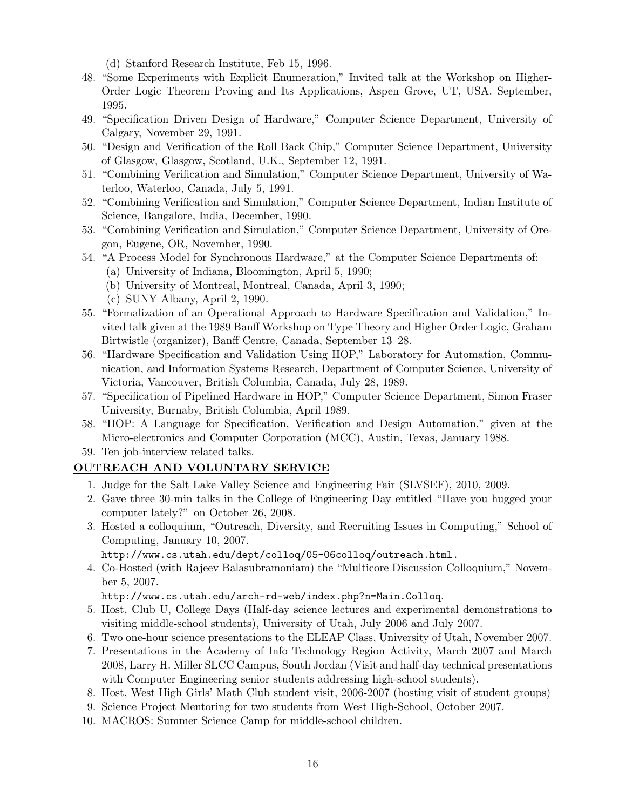(d) Stanford Research Institute, Feb 15, 1996.

- 48. "Some Experiments with Explicit Enumeration," Invited talk at the Workshop on Higher-Order Logic Theorem Proving and Its Applications, Aspen Grove, UT, USA. September, 1995.
- 49. "Specification Driven Design of Hardware," Computer Science Department, University of Calgary, November 29, 1991.
- 50. "Design and Verification of the Roll Back Chip," Computer Science Department, University of Glasgow, Glasgow, Scotland, U.K., September 12, 1991.
- 51. "Combining Verification and Simulation," Computer Science Department, University of Waterloo, Waterloo, Canada, July 5, 1991.
- 52. "Combining Verification and Simulation," Computer Science Department, Indian Institute of Science, Bangalore, India, December, 1990.
- 53. "Combining Verification and Simulation," Computer Science Department, University of Oregon, Eugene, OR, November, 1990.
- 54. "A Process Model for Synchronous Hardware," at the Computer Science Departments of:
	- (a) University of Indiana, Bloomington, April 5, 1990;
	- (b) University of Montreal, Montreal, Canada, April 3, 1990;
	- (c) SUNY Albany, April 2, 1990.
- 55. "Formalization of an Operational Approach to Hardware Specification and Validation," Invited talk given at the 1989 Banff Workshop on Type Theory and Higher Order Logic, Graham Birtwistle (organizer), Banff Centre, Canada, September 13–28.
- 56. "Hardware Specification and Validation Using HOP," Laboratory for Automation, Communication, and Information Systems Research, Department of Computer Science, University of Victoria, Vancouver, British Columbia, Canada, July 28, 1989.
- 57. "Specification of Pipelined Hardware in HOP," Computer Science Department, Simon Fraser University, Burnaby, British Columbia, April 1989.
- 58. "HOP: A Language for Specification, Verification and Design Automation," given at the Micro-electronics and Computer Corporation (MCC), Austin, Texas, January 1988.
- 59. Ten job-interview related talks.

### OUTREACH AND VOLUNTARY SERVICE

- 1. Judge for the Salt Lake Valley Science and Engineering Fair (SLVSEF), 2010, 2009.
- 2. Gave three 30-min talks in the College of Engineering Day entitled "Have you hugged your computer lately?" on October 26, 2008.
- 3. Hosted a colloquium, "Outreach, Diversity, and Recruiting Issues in Computing," School of Computing, January 10, 2007.

http://www.cs.utah.edu/dept/colloq/05-06colloq/outreach.html.

4. Co-Hosted (with Rajeev Balasubramoniam) the "Multicore Discussion Colloquium," November 5, 2007.

http://www.cs.utah.edu/arch-rd-web/index.php?n=Main.Colloq.

- 5. Host, Club U, College Days (Half-day science lectures and experimental demonstrations to visiting middle-school students), University of Utah, July 2006 and July 2007.
- 6. Two one-hour science presentations to the ELEAP Class, University of Utah, November 2007.
- 7. Presentations in the Academy of Info Technology Region Activity, March 2007 and March 2008, Larry H. Miller SLCC Campus, South Jordan (Visit and half-day technical presentations with Computer Engineering senior students addressing high-school students).
- 8. Host, West High Girls' Math Club student visit, 2006-2007 (hosting visit of student groups)
- 9. Science Project Mentoring for two students from West High-School, October 2007.
- 10. MACROS: Summer Science Camp for middle-school children.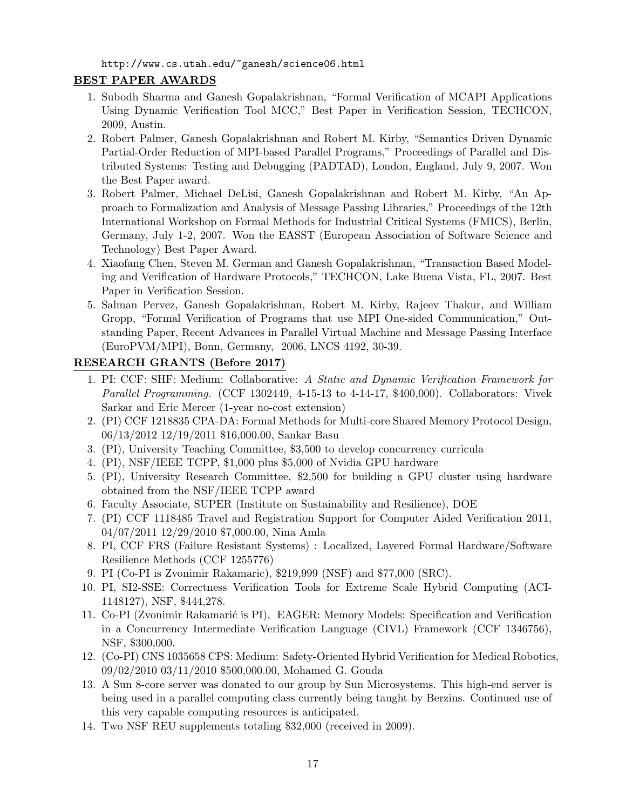http://www.cs.utah.edu/~ganesh/science06.html

## BEST PAPER AWARDS

- 1. Subodh Sharma and Ganesh Gopalakrishnan, "Formal Verification of MCAPI Applications Using Dynamic Verification Tool MCC," Best Paper in Verification Session, TECHCON, 2009, Austin.
- 2. Robert Palmer, Ganesh Gopalakrishnan and Robert M. Kirby, "Semantics Driven Dynamic Partial-Order Reduction of MPI-based Parallel Programs," Proceedings of Parallel and Distributed Systems: Testing and Debugging (PADTAD), London, England, July 9, 2007. Won the Best Paper award.
- 3. Robert Palmer, Michael DeLisi, Ganesh Gopalakrishnan and Robert M. Kirby, "An Approach to Formalization and Analysis of Message Passing Libraries," Proceedings of the 12th International Workshop on Formal Methods for Industrial Critical Systems (FMICS), Berlin, Germany, July 1-2, 2007. Won the EASST (European Association of Software Science and Technology) Best Paper Award.
- 4. Xiaofang Chen, Steven M. German and Ganesh Gopalakrishnan, "Transaction Based Modeling and Verification of Hardware Protocols," TECHCON, Lake Buena Vista, FL, 2007. Best Paper in Verification Session.
- 5. Salman Pervez, Ganesh Gopalakrishnan, Robert M. Kirby, Rajeev Thakur, and William Gropp, "Formal Verification of Programs that use MPI One-sided Communication," Outstanding Paper, Recent Advances in Parallel Virtual Machine and Message Passing Interface (EuroPVM/MPI), Bonn, Germany, 2006, LNCS 4192, 30-39.

## RESEARCH GRANTS (Before 2017)

- 1. PI: CCF: SHF: Medium: Collaborative: A Static and Dynamic Verification Framework for Parallel Programming. (CCF 1302449, 4-15-13 to 4-14-17, \$400,000). Collaborators: Vivek Sarkar and Eric Mercer (1-year no-cost extension)
- 2. (PI) CCF 1218835 CPA-DA: Formal Methods for Multi-core Shared Memory Protocol Design, 06/13/2012 12/19/2011 \$16,000.00, Sankar Basu
- 3. (PI), University Teaching Committee, \$3,500 to develop concurrency curricula
- 4. (PI), NSF/IEEE TCPP, \$1,000 plus \$5,000 of Nvidia GPU hardware
- 5. (PI), University Research Committee, \$2,500 for building a GPU cluster using hardware obtained from the NSF/IEEE TCPP award
- 6. Faculty Associate, SUPER (Institute on Sustainability and Resilience), DOE
- 7. (PI) CCF 1118485 Travel and Registration Support for Computer Aided Verification 2011, 04/07/2011 12/29/2010 \$7,000.00, Nina Amla
- 8. PI, CCF FRS (Failure Resistant Systems) : Localized, Layered Formal Hardware/Software Resilience Methods (CCF 1255776)
- 9. PI (Co-PI is Zvonimir Rakamaric), \$219,999 (NSF) and \$77,000 (SRC).
- 10. PI, SI2-SSE: Correctness Verification Tools for Extreme Scale Hybrid Computing (ACI-1148127), NSF, \$444,278.
- 11. Co-PI (Zvonimir Rakamarić is PI), EAGER: Memory Models: Specification and Verification in a Concurrency Intermediate Verification Language (CIVL) Framework (CCF 1346756), NSF, \$300,000.
- 12. (Co-PI) CNS 1035658 CPS: Medium: Safety-Oriented Hybrid Verification for Medical Robotics, 09/02/2010 03/11/2010 \$500,000.00, Mohamed G. Gouda
- 13. A Sun 8-core server was donated to our group by Sun Microsystems. This high-end server is being used in a parallel computing class currently being taught by Berzins. Continued use of this very capable computing resources is anticipated.
- 14. Two NSF REU supplements totaling \$32,000 (received in 2009).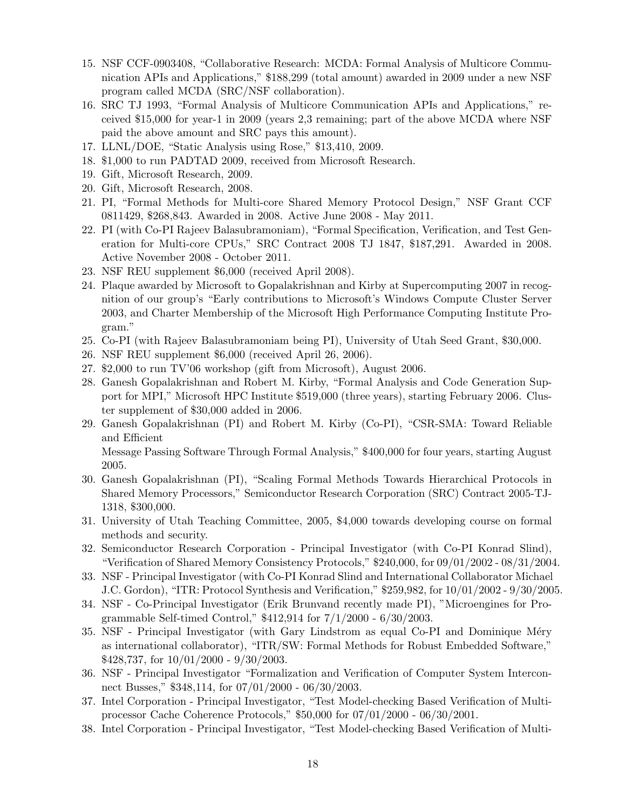- 15. NSF CCF-0903408, "Collaborative Research: MCDA: Formal Analysis of Multicore Communication APIs and Applications," \$188,299 (total amount) awarded in 2009 under a new NSF program called MCDA (SRC/NSF collaboration).
- 16. SRC TJ 1993, "Formal Analysis of Multicore Communication APIs and Applications," received \$15,000 for year-1 in 2009 (years 2,3 remaining; part of the above MCDA where NSF paid the above amount and SRC pays this amount).
- 17. LLNL/DOE, "Static Analysis using Rose," \$13,410, 2009.
- 18. \$1,000 to run PADTAD 2009, received from Microsoft Research.
- 19. Gift, Microsoft Research, 2009.
- 20. Gift, Microsoft Research, 2008.
- 21. PI, "Formal Methods for Multi-core Shared Memory Protocol Design," NSF Grant CCF 0811429, \$268,843. Awarded in 2008. Active June 2008 - May 2011.
- 22. PI (with Co-PI Rajeev Balasubramoniam), "Formal Specification, Verification, and Test Generation for Multi-core CPUs," SRC Contract 2008 TJ 1847, \$187,291. Awarded in 2008. Active November 2008 - October 2011.
- 23. NSF REU supplement \$6,000 (received April 2008).
- 24. Plaque awarded by Microsoft to Gopalakrishnan and Kirby at Supercomputing 2007 in recognition of our group's "Early contributions to Microsoft's Windows Compute Cluster Server 2003, and Charter Membership of the Microsoft High Performance Computing Institute Program."
- 25. Co-PI (with Rajeev Balasubramoniam being PI), University of Utah Seed Grant, \$30,000.
- 26. NSF REU supplement \$6,000 (received April 26, 2006).
- 27. \$2,000 to run TV'06 workshop (gift from Microsoft), August 2006.
- 28. Ganesh Gopalakrishnan and Robert M. Kirby, "Formal Analysis and Code Generation Support for MPI," Microsoft HPC Institute \$519,000 (three years), starting February 2006. Cluster supplement of \$30,000 added in 2006.
- 29. Ganesh Gopalakrishnan (PI) and Robert M. Kirby (Co-PI), "CSR-SMA: Toward Reliable and Efficient

Message Passing Software Through Formal Analysis," \$400,000 for four years, starting August 2005.

- 30. Ganesh Gopalakrishnan (PI), "Scaling Formal Methods Towards Hierarchical Protocols in Shared Memory Processors," Semiconductor Research Corporation (SRC) Contract 2005-TJ-1318, \$300,000.
- 31. University of Utah Teaching Committee, 2005, \$4,000 towards developing course on formal methods and security.
- 32. Semiconductor Research Corporation Principal Investigator (with Co-PI Konrad Slind), "Verification of Shared Memory Consistency Protocols," \$240,000, for 09/01/2002 - 08/31/2004.
- 33. NSF Principal Investigator (with Co-PI Konrad Slind and International Collaborator Michael J.C. Gordon), "ITR: Protocol Synthesis and Verification," \$259,982, for 10/01/2002 - 9/30/2005.
- 34. NSF Co-Principal Investigator (Erik Brunvand recently made PI), "Microengines for Programmable Self-timed Control," \$412,914 for 7/1/2000 - 6/30/2003.
- 35. NSF Principal Investigator (with Gary Lindstrom as equal Co-PI and Dominique Méry as international collaborator), "ITR/SW: Formal Methods for Robust Embedded Software,"  $$428,737$ , for  $10/01/2000 - 9/30/2003$ .
- 36. NSF Principal Investigator "Formalization and Verification of Computer System Interconnect Busses," \$348,114, for 07/01/2000 - 06/30/2003.
- 37. Intel Corporation Principal Investigator, "Test Model-checking Based Verification of Multiprocessor Cache Coherence Protocols," \$50,000 for 07/01/2000 - 06/30/2001.
- 38. Intel Corporation Principal Investigator, "Test Model-checking Based Verification of Multi-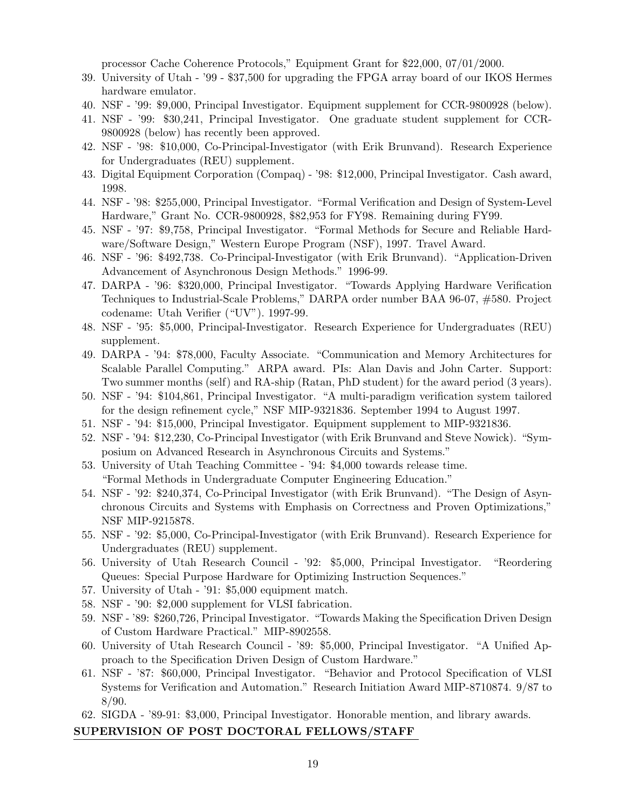processor Cache Coherence Protocols," Equipment Grant for \$22,000, 07/01/2000.

- 39. University of Utah '99 \$37,500 for upgrading the FPGA array board of our IKOS Hermes hardware emulator.
- 40. NSF '99: \$9,000, Principal Investigator. Equipment supplement for CCR-9800928 (below).
- 41. NSF '99: \$30,241, Principal Investigator. One graduate student supplement for CCR-9800928 (below) has recently been approved.
- 42. NSF '98: \$10,000, Co-Principal-Investigator (with Erik Brunvand). Research Experience for Undergraduates (REU) supplement.
- 43. Digital Equipment Corporation (Compaq) '98: \$12,000, Principal Investigator. Cash award, 1998.
- 44. NSF '98: \$255,000, Principal Investigator. "Formal Verification and Design of System-Level Hardware," Grant No. CCR-9800928, \$82,953 for FY98. Remaining during FY99.
- 45. NSF '97: \$9,758, Principal Investigator. "Formal Methods for Secure and Reliable Hardware/Software Design," Western Europe Program (NSF), 1997. Travel Award.
- 46. NSF '96: \$492,738. Co-Principal-Investigator (with Erik Brunvand). "Application-Driven Advancement of Asynchronous Design Methods." 1996-99.
- 47. DARPA '96: \$320,000, Principal Investigator. "Towards Applying Hardware Verification Techniques to Industrial-Scale Problems," DARPA order number BAA 96-07, #580. Project codename: Utah Verifier ("UV"). 1997-99.
- 48. NSF '95: \$5,000, Principal-Investigator. Research Experience for Undergraduates (REU) supplement.
- 49. DARPA '94: \$78,000, Faculty Associate. "Communication and Memory Architectures for Scalable Parallel Computing." ARPA award. PIs: Alan Davis and John Carter. Support: Two summer months (self) and RA-ship (Ratan, PhD student) for the award period (3 years).
- 50. NSF '94: \$104,861, Principal Investigator. "A multi-paradigm verification system tailored for the design refinement cycle," NSF MIP-9321836. September 1994 to August 1997.
- 51. NSF '94: \$15,000, Principal Investigator. Equipment supplement to MIP-9321836.
- 52. NSF '94: \$12,230, Co-Principal Investigator (with Erik Brunvand and Steve Nowick). "Symposium on Advanced Research in Asynchronous Circuits and Systems."
- 53. University of Utah Teaching Committee '94: \$4,000 towards release time. "Formal Methods in Undergraduate Computer Engineering Education."
- 54. NSF '92: \$240,374, Co-Principal Investigator (with Erik Brunvand). "The Design of Asynchronous Circuits and Systems with Emphasis on Correctness and Proven Optimizations," NSF MIP-9215878.
- 55. NSF '92: \$5,000, Co-Principal-Investigator (with Erik Brunvand). Research Experience for Undergraduates (REU) supplement.
- 56. University of Utah Research Council '92: \$5,000, Principal Investigator. "Reordering Queues: Special Purpose Hardware for Optimizing Instruction Sequences."
- 57. University of Utah '91: \$5,000 equipment match.
- 58. NSF '90: \$2,000 supplement for VLSI fabrication.
- 59. NSF '89: \$260,726, Principal Investigator. "Towards Making the Specification Driven Design of Custom Hardware Practical." MIP-8902558.
- 60. University of Utah Research Council '89: \$5,000, Principal Investigator. "A Unified Approach to the Specification Driven Design of Custom Hardware."
- 61. NSF '87: \$60,000, Principal Investigator. "Behavior and Protocol Specification of VLSI Systems for Verification and Automation." Research Initiation Award MIP-8710874. 9/87 to 8/90.
- 62. SIGDA '89-91: \$3,000, Principal Investigator. Honorable mention, and library awards.

#### SUPERVISION OF POST DOCTORAL FELLOWS/STAFF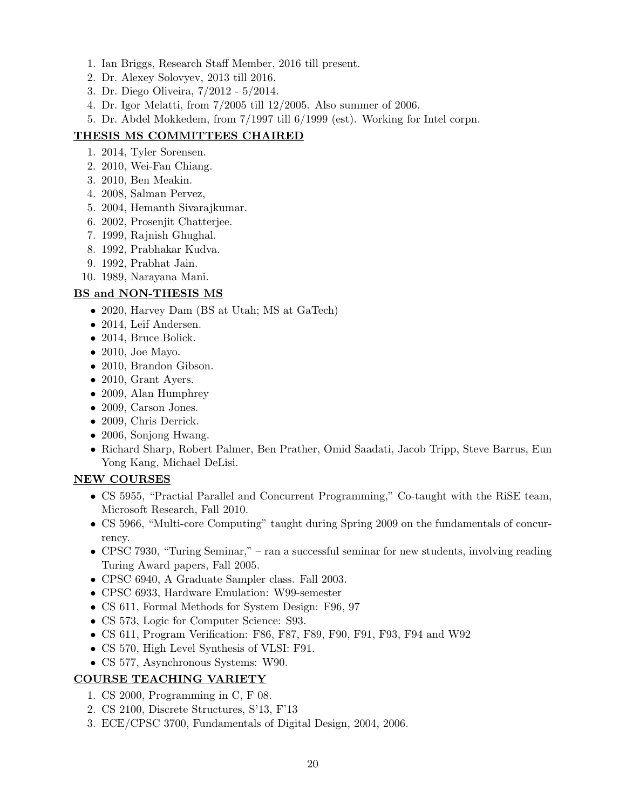- 1. Ian Briggs, Research Staff Member, 2016 till present.
- 2. Dr. Alexey Solovyev, 2013 till 2016.
- 3. Dr. Diego Oliveira, 7/2012 5/2014.
- 4. Dr. Igor Melatti, from 7/2005 till 12/2005. Also summer of 2006.
- 5. Dr. Abdel Mokkedem, from 7/1997 till 6/1999 (est). Working for Intel corpn.

## THESIS MS COMMITTEES CHAIRED

- 1. 2014, Tyler Sorensen.
- 2. 2010, Wei-Fan Chiang.
- 3. 2010, Ben Meakin.
- 4. 2008, Salman Pervez,
- 5. 2004, Hemanth Sivarajkumar.
- 6. 2002, Prosenjit Chatterjee.
- 7. 1999, Rajnish Ghughal.
- 8. 1992, Prabhakar Kudva.
- 9. 1992, Prabhat Jain.
- 10. 1989, Narayana Mani.

## BS and NON-THESIS MS

- 2020, Harvey Dam (BS at Utah; MS at GaTech)
- 2014, Leif Andersen.
- 2014, Bruce Bolick.
- 2010, Joe Mayo.
- 2010, Brandon Gibson.
- 2010, Grant Ayers.
- 2009, Alan Humphrey
- 2009, Carson Jones.
- 2009, Chris Derrick.
- 2006, Sonjong Hwang.
- Richard Sharp, Robert Palmer, Ben Prather, Omid Saadati, Jacob Tripp, Steve Barrus, Eun Yong Kang, Michael DeLisi.

## NEW COURSES

- CS 5955, "Practial Parallel and Concurrent Programming," Co-taught with the RiSE team, Microsoft Research, Fall 2010.
- CS 5966, "Multi-core Computing" taught during Spring 2009 on the fundamentals of concurrency.
- CPSC 7930, "Turing Seminar," ran a successful seminar for new students, involving reading Turing Award papers, Fall 2005.
- CPSC 6940, A Graduate Sampler class. Fall 2003.
- CPSC 6933, Hardware Emulation: W99-semester
- CS 611, Formal Methods for System Design: F96, 97
- CS 573, Logic for Computer Science: S93.
- CS 611, Program Verification: F86, F87, F89, F90, F91, F93, F94 and W92
- CS 570, High Level Synthesis of VLSI: F91.
- CS 577, Asynchronous Systems: W90.

## COURSE TEACHING VARIETY

- 1. CS 2000, Programming in C, F 08.
- 2. CS 2100, Discrete Structures, S'13, F'13
- 3. ECE/CPSC 3700, Fundamentals of Digital Design, 2004, 2006.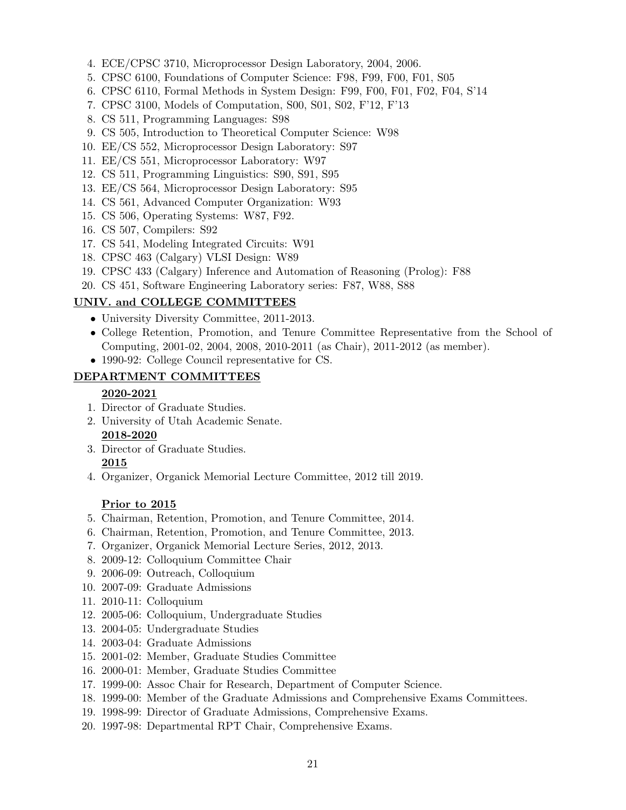- 4. ECE/CPSC 3710, Microprocessor Design Laboratory, 2004, 2006.
- 5. CPSC 6100, Foundations of Computer Science: F98, F99, F00, F01, S05
- 6. CPSC 6110, Formal Methods in System Design: F99, F00, F01, F02, F04, S'14
- 7. CPSC 3100, Models of Computation, S00, S01, S02, F'12, F'13
- 8. CS 511, Programming Languages: S98
- 9. CS 505, Introduction to Theoretical Computer Science: W98
- 10. EE/CS 552, Microprocessor Design Laboratory: S97
- 11. EE/CS 551, Microprocessor Laboratory: W97
- 12. CS 511, Programming Linguistics: S90, S91, S95
- 13. EE/CS 564, Microprocessor Design Laboratory: S95
- 14. CS 561, Advanced Computer Organization: W93
- 15. CS 506, Operating Systems: W87, F92.
- 16. CS 507, Compilers: S92
- 17. CS 541, Modeling Integrated Circuits: W91
- 18. CPSC 463 (Calgary) VLSI Design: W89
- 19. CPSC 433 (Calgary) Inference and Automation of Reasoning (Prolog): F88
- 20. CS 451, Software Engineering Laboratory series: F87, W88, S88

#### UNIV. and COLLEGE COMMITTEES

- University Diversity Committee, 2011-2013.
- College Retention, Promotion, and Tenure Committee Representative from the School of Computing, 2001-02, 2004, 2008, 2010-2011 (as Chair), 2011-2012 (as member).
- 1990-92: College Council representative for CS.

### DEPARTMENT COMMITTEES

#### 2020-2021

- 1. Director of Graduate Studies.
- 2. University of Utah Academic Senate. 2018-2020
- 3. Director of Graduate Studies. 2015
- 4. Organizer, Organick Memorial Lecture Committee, 2012 till 2019.

#### Prior to 2015

- 5. Chairman, Retention, Promotion, and Tenure Committee, 2014.
- 6. Chairman, Retention, Promotion, and Tenure Committee, 2013.
- 7. Organizer, Organick Memorial Lecture Series, 2012, 2013.
- 8. 2009-12: Colloquium Committee Chair
- 9. 2006-09: Outreach, Colloquium
- 10. 2007-09: Graduate Admissions
- 11. 2010-11: Colloquium
- 12. 2005-06: Colloquium, Undergraduate Studies
- 13. 2004-05: Undergraduate Studies
- 14. 2003-04: Graduate Admissions
- 15. 2001-02: Member, Graduate Studies Committee
- 16. 2000-01: Member, Graduate Studies Committee
- 17. 1999-00: Assoc Chair for Research, Department of Computer Science.
- 18. 1999-00: Member of the Graduate Admissions and Comprehensive Exams Committees.
- 19. 1998-99: Director of Graduate Admissions, Comprehensive Exams.
- 20. 1997-98: Departmental RPT Chair, Comprehensive Exams.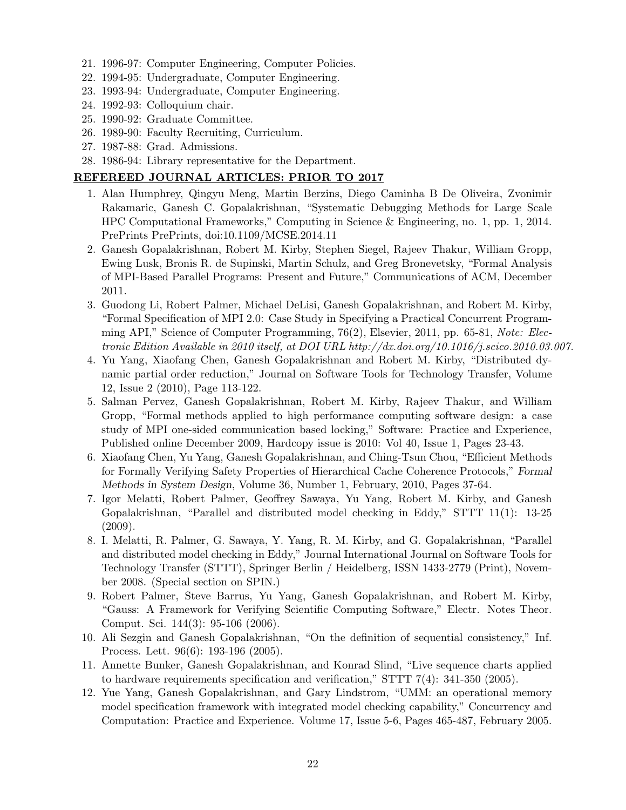- 21. 1996-97: Computer Engineering, Computer Policies.
- 22. 1994-95: Undergraduate, Computer Engineering.
- 23. 1993-94: Undergraduate, Computer Engineering.
- 24. 1992-93: Colloquium chair.
- 25. 1990-92: Graduate Committee.
- 26. 1989-90: Faculty Recruiting, Curriculum.
- 27. 1987-88: Grad. Admissions.
- 28. 1986-94: Library representative for the Department.

### REFEREED JOURNAL ARTICLES: PRIOR TO 2017

- 1. Alan Humphrey, Qingyu Meng, Martin Berzins, Diego Caminha B De Oliveira, Zvonimir Rakamaric, Ganesh C. Gopalakrishnan, "Systematic Debugging Methods for Large Scale HPC Computational Frameworks," Computing in Science & Engineering, no. 1, pp. 1, 2014. PrePrints PrePrints, doi:10.1109/MCSE.2014.11
- 2. Ganesh Gopalakrishnan, Robert M. Kirby, Stephen Siegel, Rajeev Thakur, William Gropp, Ewing Lusk, Bronis R. de Supinski, Martin Schulz, and Greg Bronevetsky, "Formal Analysis of MPI-Based Parallel Programs: Present and Future," Communications of ACM, December 2011.
- 3. Guodong Li, Robert Palmer, Michael DeLisi, Ganesh Gopalakrishnan, and Robert M. Kirby, "Formal Specification of MPI 2.0: Case Study in Specifying a Practical Concurrent Programming API," Science of Computer Programming, 76(2), Elsevier, 2011, pp. 65-81, Note: Electronic Edition Available in 2010 itself, at DOI URL http://dx.doi.org/10.1016/j.scico.2010.03.007.
- 4. Yu Yang, Xiaofang Chen, Ganesh Gopalakrishnan and Robert M. Kirby, "Distributed dynamic partial order reduction," Journal on Software Tools for Technology Transfer, Volume 12, Issue 2 (2010), Page 113-122.
- 5. Salman Pervez, Ganesh Gopalakrishnan, Robert M. Kirby, Rajeev Thakur, and William Gropp, "Formal methods applied to high performance computing software design: a case study of MPI one-sided communication based locking," Software: Practice and Experience, Published online December 2009, Hardcopy issue is 2010: Vol 40, Issue 1, Pages 23-43.
- 6. Xiaofang Chen, Yu Yang, Ganesh Gopalakrishnan, and Ching-Tsun Chou, "Efficient Methods for Formally Verifying Safety Properties of Hierarchical Cache Coherence Protocols," Formal Methods in System Design, Volume 36, Number 1, February, 2010, Pages 37-64.
- 7. Igor Melatti, Robert Palmer, Geoffrey Sawaya, Yu Yang, Robert M. Kirby, and Ganesh Gopalakrishnan, "Parallel and distributed model checking in Eddy," STTT 11(1): 13-25  $(2009).$
- 8. I. Melatti, R. Palmer, G. Sawaya, Y. Yang, R. M. Kirby, and G. Gopalakrishnan, "Parallel and distributed model checking in Eddy," Journal International Journal on Software Tools for Technology Transfer (STTT), Springer Berlin / Heidelberg, ISSN 1433-2779 (Print), November 2008. (Special section on SPIN.)
- 9. Robert Palmer, Steve Barrus, Yu Yang, Ganesh Gopalakrishnan, and Robert M. Kirby, "Gauss: A Framework for Verifying Scientific Computing Software," Electr. Notes Theor. Comput. Sci. 144(3): 95-106 (2006).
- 10. Ali Sezgin and Ganesh Gopalakrishnan, "On the definition of sequential consistency," Inf. Process. Lett. 96(6): 193-196 (2005).
- 11. Annette Bunker, Ganesh Gopalakrishnan, and Konrad Slind, "Live sequence charts applied to hardware requirements specification and verification," STTT 7(4): 341-350 (2005).
- 12. Yue Yang, Ganesh Gopalakrishnan, and Gary Lindstrom, "UMM: an operational memory model specification framework with integrated model checking capability," Concurrency and Computation: Practice and Experience. Volume 17, Issue 5-6, Pages 465-487, February 2005.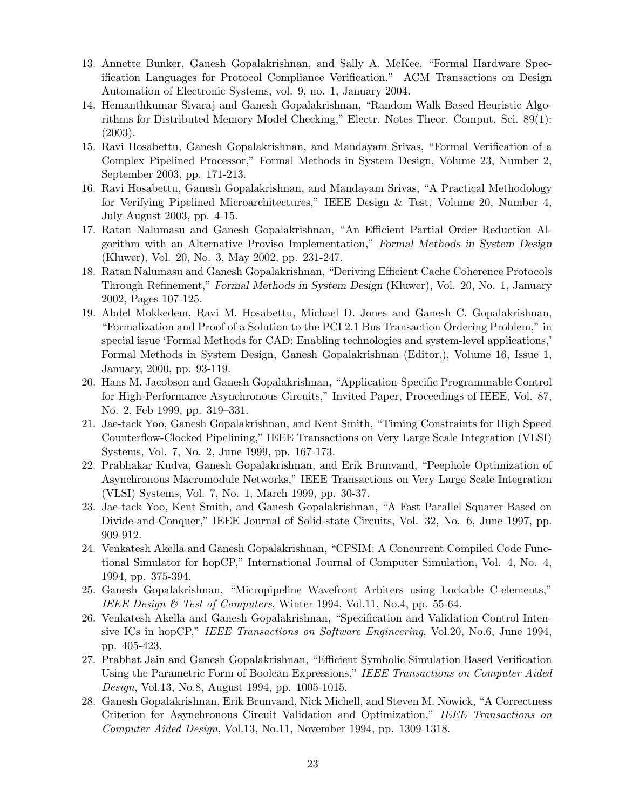- 13. Annette Bunker, Ganesh Gopalakrishnan, and Sally A. McKee, "Formal Hardware Specification Languages for Protocol Compliance Verification." ACM Transactions on Design Automation of Electronic Systems, vol. 9, no. 1, January 2004.
- 14. Hemanthkumar Sivaraj and Ganesh Gopalakrishnan, "Random Walk Based Heuristic Algorithms for Distributed Memory Model Checking," Electr. Notes Theor. Comput. Sci. 89(1): (2003).
- 15. Ravi Hosabettu, Ganesh Gopalakrishnan, and Mandayam Srivas, "Formal Verification of a Complex Pipelined Processor," Formal Methods in System Design, Volume 23, Number 2, September 2003, pp. 171-213.
- 16. Ravi Hosabettu, Ganesh Gopalakrishnan, and Mandayam Srivas, "A Practical Methodology for Verifying Pipelined Microarchitectures," IEEE Design & Test, Volume 20, Number 4, July-August 2003, pp. 4-15.
- 17. Ratan Nalumasu and Ganesh Gopalakrishnan, "An Efficient Partial Order Reduction Algorithm with an Alternative Proviso Implementation," Formal Methods in System Design (Kluwer), Vol. 20, No. 3, May 2002, pp. 231-247.
- 18. Ratan Nalumasu and Ganesh Gopalakrishnan, "Deriving Efficient Cache Coherence Protocols Through Refinement," Formal Methods in System Design (Kluwer), Vol. 20, No. 1, January 2002, Pages 107-125.
- 19. Abdel Mokkedem, Ravi M. Hosabettu, Michael D. Jones and Ganesh C. Gopalakrishnan, "Formalization and Proof of a Solution to the PCI 2.1 Bus Transaction Ordering Problem," in special issue 'Formal Methods for CAD: Enabling technologies and system-level applications,' Formal Methods in System Design, Ganesh Gopalakrishnan (Editor.), Volume 16, Issue 1, January, 2000, pp. 93-119.
- 20. Hans M. Jacobson and Ganesh Gopalakrishnan, "Application-Specific Programmable Control for High-Performance Asynchronous Circuits," Invited Paper, Proceedings of IEEE, Vol. 87, No. 2, Feb 1999, pp. 319–331.
- 21. Jae-tack Yoo, Ganesh Gopalakrishnan, and Kent Smith, "Timing Constraints for High Speed Counterflow-Clocked Pipelining," IEEE Transactions on Very Large Scale Integration (VLSI) Systems, Vol. 7, No. 2, June 1999, pp. 167-173.
- 22. Prabhakar Kudva, Ganesh Gopalakrishnan, and Erik Brunvand, "Peephole Optimization of Asynchronous Macromodule Networks," IEEE Transactions on Very Large Scale Integration (VLSI) Systems, Vol. 7, No. 1, March 1999, pp. 30-37.
- 23. Jae-tack Yoo, Kent Smith, and Ganesh Gopalakrishnan, "A Fast Parallel Squarer Based on Divide-and-Conquer," IEEE Journal of Solid-state Circuits, Vol. 32, No. 6, June 1997, pp. 909-912.
- 24. Venkatesh Akella and Ganesh Gopalakrishnan, "CFSIM: A Concurrent Compiled Code Functional Simulator for hopCP," International Journal of Computer Simulation, Vol. 4, No. 4, 1994, pp. 375-394.
- 25. Ganesh Gopalakrishnan, "Micropipeline Wavefront Arbiters using Lockable C-elements," IEEE Design  $\mathcal C$  Test of Computers, Winter 1994, Vol.11, No.4, pp. 55-64.
- 26. Venkatesh Akella and Ganesh Gopalakrishnan, "Specification and Validation Control Intensive ICs in hopCP," IEEE Transactions on Software Engineering, Vol.20, No.6, June 1994, pp. 405-423.
- 27. Prabhat Jain and Ganesh Gopalakrishnan, "Efficient Symbolic Simulation Based Verification Using the Parametric Form of Boolean Expressions," IEEE Transactions on Computer Aided Design, Vol.13, No.8, August 1994, pp. 1005-1015.
- 28. Ganesh Gopalakrishnan, Erik Brunvand, Nick Michell, and Steven M. Nowick, "A Correctness Criterion for Asynchronous Circuit Validation and Optimization," IEEE Transactions on Computer Aided Design, Vol.13, No.11, November 1994, pp. 1309-1318.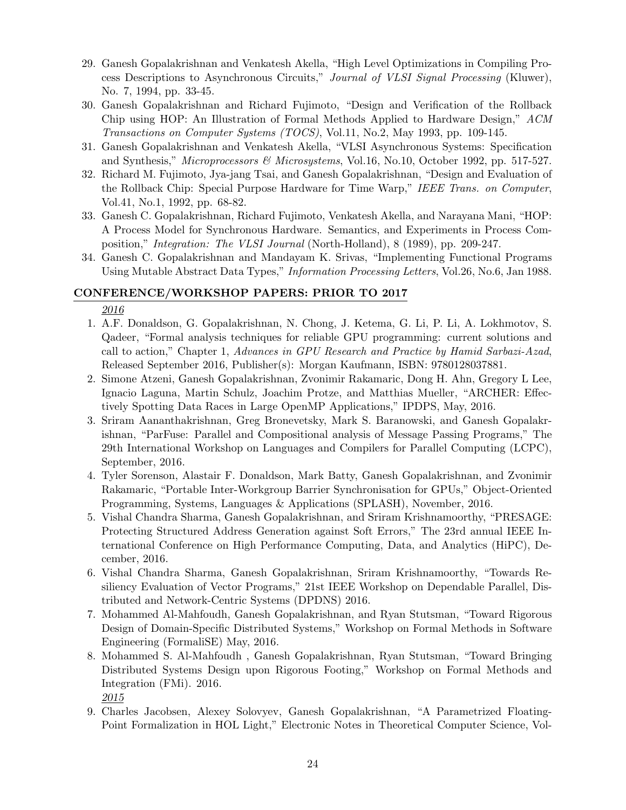- 29. Ganesh Gopalakrishnan and Venkatesh Akella, "High Level Optimizations in Compiling Process Descriptions to Asynchronous Circuits," Journal of VLSI Signal Processing (Kluwer), No. 7, 1994, pp. 33-45.
- 30. Ganesh Gopalakrishnan and Richard Fujimoto, "Design and Verification of the Rollback Chip using HOP: An Illustration of Formal Methods Applied to Hardware Design," ACM Transactions on Computer Systems (TOCS), Vol.11, No.2, May 1993, pp. 109-145.
- 31. Ganesh Gopalakrishnan and Venkatesh Akella, "VLSI Asynchronous Systems: Specification and Synthesis," *Microprocessors & Microsystems*, Vol.16, No.10, October 1992, pp. 517-527.
- 32. Richard M. Fujimoto, Jya-jang Tsai, and Ganesh Gopalakrishnan, "Design and Evaluation of the Rollback Chip: Special Purpose Hardware for Time Warp," IEEE Trans. on Computer, Vol.41, No.1, 1992, pp. 68-82.
- 33. Ganesh C. Gopalakrishnan, Richard Fujimoto, Venkatesh Akella, and Narayana Mani, "HOP: A Process Model for Synchronous Hardware. Semantics, and Experiments in Process Composition," Integration: The VLSI Journal (North-Holland), 8 (1989), pp. 209-247.
- 34. Ganesh C. Gopalakrishnan and Mandayam K. Srivas, "Implementing Functional Programs Using Mutable Abstract Data Types," Information Processing Letters, Vol.26, No.6, Jan 1988.

## CONFERENCE/WORKSHOP PAPERS: PRIOR TO 2017

- 1. A.F. Donaldson, G. Gopalakrishnan, N. Chong, J. Ketema, G. Li, P. Li, A. Lokhmotov, S. Qadeer, "Formal analysis techniques for reliable GPU programming: current solutions and call to action," Chapter 1, Advances in GPU Research and Practice by Hamid Sarbazi-Azad, Released September 2016, Publisher(s): Morgan Kaufmann, ISBN: 9780128037881.
- 2. Simone Atzeni, Ganesh Gopalakrishnan, Zvonimir Rakamaric, Dong H. Ahn, Gregory L Lee, Ignacio Laguna, Martin Schulz, Joachim Protze, and Matthias Mueller, "ARCHER: Effectively Spotting Data Races in Large OpenMP Applications," IPDPS, May, 2016.
- 3. Sriram Aananthakrishnan, Greg Bronevetsky, Mark S. Baranowski, and Ganesh Gopalakrishnan, "ParFuse: Parallel and Compositional analysis of Message Passing Programs," The 29th International Workshop on Languages and Compilers for Parallel Computing (LCPC), September, 2016.
- 4. Tyler Sorenson, Alastair F. Donaldson, Mark Batty, Ganesh Gopalakrishnan, and Zvonimir Rakamaric, "Portable Inter-Workgroup Barrier Synchronisation for GPUs," Object-Oriented Programming, Systems, Languages & Applications (SPLASH), November, 2016.
- 5. Vishal Chandra Sharma, Ganesh Gopalakrishnan, and Sriram Krishnamoorthy, "PRESAGE: Protecting Structured Address Generation against Soft Errors," The 23rd annual IEEE International Conference on High Performance Computing, Data, and Analytics (HiPC), December, 2016.
- 6. Vishal Chandra Sharma, Ganesh Gopalakrishnan, Sriram Krishnamoorthy, "Towards Resiliency Evaluation of Vector Programs," 21st IEEE Workshop on Dependable Parallel, Distributed and Network-Centric Systems (DPDNS) 2016.
- 7. Mohammed Al-Mahfoudh, Ganesh Gopalakrishnan, and Ryan Stutsman, "Toward Rigorous Design of Domain-Specific Distributed Systems," Workshop on Formal Methods in Software Engineering (FormaliSE) May, 2016.
- 8. Mohammed S. Al-Mahfoudh , Ganesh Gopalakrishnan, Ryan Stutsman, "Toward Bringing Distributed Systems Design upon Rigorous Footing," Workshop on Formal Methods and Integration (FMi). 2016. 2015
- 9. Charles Jacobsen, Alexey Solovyev, Ganesh Gopalakrishnan, "A Parametrized Floating-Point Formalization in HOL Light," Electronic Notes in Theoretical Computer Science, Vol-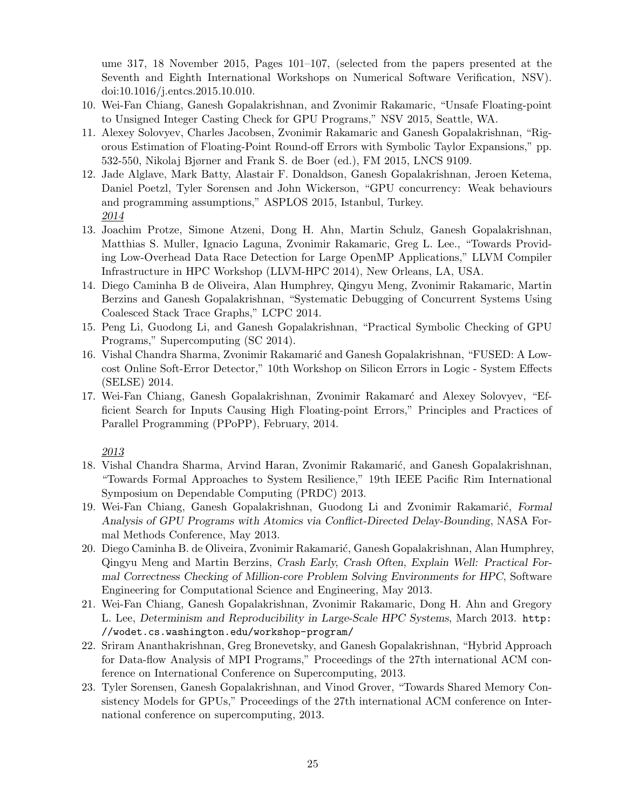ume 317, 18 November 2015, Pages 101–107, (selected from the papers presented at the Seventh and Eighth International Workshops on Numerical Software Verification, NSV). doi:10.1016/j.entcs.2015.10.010.

- 10. Wei-Fan Chiang, Ganesh Gopalakrishnan, and Zvonimir Rakamaric, "Unsafe Floating-point to Unsigned Integer Casting Check for GPU Programs," NSV 2015, Seattle, WA.
- 11. Alexey Solovyev, Charles Jacobsen, Zvonimir Rakamaric and Ganesh Gopalakrishnan, "Rigorous Estimation of Floating-Point Round-off Errors with Symbolic Taylor Expansions," pp. 532-550, Nikolaj Bjørner and Frank S. de Boer (ed.), FM 2015, LNCS 9109.
- 12. Jade Alglave, Mark Batty, Alastair F. Donaldson, Ganesh Gopalakrishnan, Jeroen Ketema, Daniel Poetzl, Tyler Sorensen and John Wickerson, "GPU concurrency: Weak behaviours and programming assumptions," ASPLOS 2015, Istanbul, Turkey. 2014
- 13. Joachim Protze, Simone Atzeni, Dong H. Ahn, Martin Schulz, Ganesh Gopalakrishnan, Matthias S. Muller, Ignacio Laguna, Zvonimir Rakamaric, Greg L. Lee., "Towards Providing Low-Overhead Data Race Detection for Large OpenMP Applications," LLVM Compiler Infrastructure in HPC Workshop (LLVM-HPC 2014), New Orleans, LA, USA.
- 14. Diego Caminha B de Oliveira, Alan Humphrey, Qingyu Meng, Zvonimir Rakamaric, Martin Berzins and Ganesh Gopalakrishnan, "Systematic Debugging of Concurrent Systems Using Coalesced Stack Trace Graphs," LCPC 2014.
- 15. Peng Li, Guodong Li, and Ganesh Gopalakrishnan, "Practical Symbolic Checking of GPU Programs," Supercomputing (SC 2014).
- 16. Vishal Chandra Sharma, Zvonimir Rakamarić and Ganesh Gopalakrishnan, "FUSED: A Lowcost Online Soft-Error Detector," 10th Workshop on Silicon Errors in Logic - System Effects (SELSE) 2014.
- 17. Wei-Fan Chiang, Ganesh Gopalakrishnan, Zvonimir Rakamarć and Alexey Solovyev, "Efficient Search for Inputs Causing High Floating-point Errors," Principles and Practices of Parallel Programming (PPoPP), February, 2014.

- 18. Vishal Chandra Sharma, Arvind Haran, Zvonimir Rakamarić, and Ganesh Gopalakrishnan, "Towards Formal Approaches to System Resilience," 19th IEEE Pacific Rim International Symposium on Dependable Computing (PRDC) 2013.
- 19. Wei-Fan Chiang, Ganesh Gopalakrishnan, Guodong Li and Zvonimir Rakamarić, Formal Analysis of GPU Programs with Atomics via Conflict-Directed Delay-Bounding, NASA Formal Methods Conference, May 2013.
- 20. Diego Caminha B. de Oliveira, Zvonimir Rakamarić, Ganesh Gopalakrishnan, Alan Humphrey, Qingyu Meng and Martin Berzins, Crash Early, Crash Often, Explain Well: Practical Formal Correctness Checking of Million-core Problem Solving Environments for HPC, Software Engineering for Computational Science and Engineering, May 2013.
- 21. Wei-Fan Chiang, Ganesh Gopalakrishnan, Zvonimir Rakamaric, Dong H. Ahn and Gregory L. Lee, Determinism and Reproducibility in Large-Scale HPC Systems, March 2013. http: //wodet.cs.washington.edu/workshop-program/
- 22. Sriram Ananthakrishnan, Greg Bronevetsky, and Ganesh Gopalakrishnan, "Hybrid Approach for Data-flow Analysis of MPI Programs," Proceedings of the 27th international ACM conference on International Conference on Supercomputing, 2013.
- 23. Tyler Sorensen, Ganesh Gopalakrishnan, and Vinod Grover, "Towards Shared Memory Consistency Models for GPUs," Proceedings of the 27th international ACM conference on International conference on supercomputing, 2013.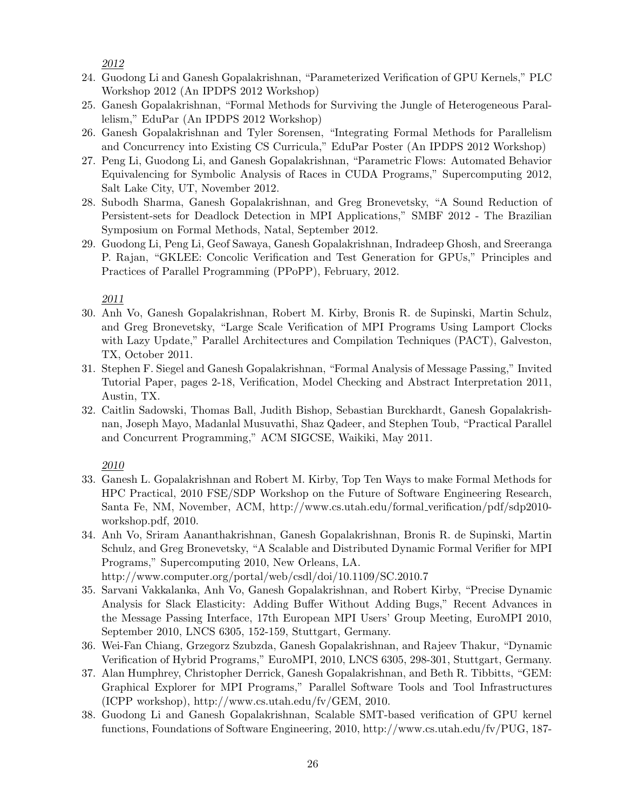2012

- 24. Guodong Li and Ganesh Gopalakrishnan, "Parameterized Verification of GPU Kernels," PLC Workshop 2012 (An IPDPS 2012 Workshop)
- 25. Ganesh Gopalakrishnan, "Formal Methods for Surviving the Jungle of Heterogeneous Parallelism," EduPar (An IPDPS 2012 Workshop)
- 26. Ganesh Gopalakrishnan and Tyler Sorensen, "Integrating Formal Methods for Parallelism and Concurrency into Existing CS Curricula," EduPar Poster (An IPDPS 2012 Workshop)
- 27. Peng Li, Guodong Li, and Ganesh Gopalakrishnan, "Parametric Flows: Automated Behavior Equivalencing for Symbolic Analysis of Races in CUDA Programs," Supercomputing 2012, Salt Lake City, UT, November 2012.
- 28. Subodh Sharma, Ganesh Gopalakrishnan, and Greg Bronevetsky, "A Sound Reduction of Persistent-sets for Deadlock Detection in MPI Applications," SMBF 2012 - The Brazilian Symposium on Formal Methods, Natal, September 2012.
- 29. Guodong Li, Peng Li, Geof Sawaya, Ganesh Gopalakrishnan, Indradeep Ghosh, and Sreeranga P. Rajan, "GKLEE: Concolic Verification and Test Generation for GPUs," Principles and Practices of Parallel Programming (PPoPP), February, 2012.

2011

- 30. Anh Vo, Ganesh Gopalakrishnan, Robert M. Kirby, Bronis R. de Supinski, Martin Schulz, and Greg Bronevetsky, "Large Scale Verification of MPI Programs Using Lamport Clocks with Lazy Update," Parallel Architectures and Compilation Techniques (PACT), Galveston, TX, October 2011.
- 31. Stephen F. Siegel and Ganesh Gopalakrishnan, "Formal Analysis of Message Passing," Invited Tutorial Paper, pages 2-18, Verification, Model Checking and Abstract Interpretation 2011, Austin, TX.
- 32. Caitlin Sadowski, Thomas Ball, Judith Bishop, Sebastian Burckhardt, Ganesh Gopalakrishnan, Joseph Mayo, Madanlal Musuvathi, Shaz Qadeer, and Stephen Toub, "Practical Parallel and Concurrent Programming," ACM SIGCSE, Waikiki, May 2011.

- 33. Ganesh L. Gopalakrishnan and Robert M. Kirby, Top Ten Ways to make Formal Methods for HPC Practical, 2010 FSE/SDP Workshop on the Future of Software Engineering Research, Santa Fe, NM, November, ACM, http://www.cs.utah.edu/formal verification/pdf/sdp2010 workshop.pdf, 2010.
- 34. Anh Vo, Sriram Aananthakrishnan, Ganesh Gopalakrishnan, Bronis R. de Supinski, Martin Schulz, and Greg Bronevetsky, "A Scalable and Distributed Dynamic Formal Verifier for MPI Programs," Supercomputing 2010, New Orleans, LA.
	- http://www.computer.org/portal/web/csdl/doi/10.1109/SC.2010.7
- 35. Sarvani Vakkalanka, Anh Vo, Ganesh Gopalakrishnan, and Robert Kirby, "Precise Dynamic Analysis for Slack Elasticity: Adding Buffer Without Adding Bugs," Recent Advances in the Message Passing Interface, 17th European MPI Users' Group Meeting, EuroMPI 2010, September 2010, LNCS 6305, 152-159, Stuttgart, Germany.
- 36. Wei-Fan Chiang, Grzegorz Szubzda, Ganesh Gopalakrishnan, and Rajeev Thakur, "Dynamic Verification of Hybrid Programs," EuroMPI, 2010, LNCS 6305, 298-301, Stuttgart, Germany.
- 37. Alan Humphrey, Christopher Derrick, Ganesh Gopalakrishnan, and Beth R. Tibbitts, "GEM: Graphical Explorer for MPI Programs," Parallel Software Tools and Tool Infrastructures (ICPP workshop), http://www.cs.utah.edu/fv/GEM, 2010.
- 38. Guodong Li and Ganesh Gopalakrishnan, Scalable SMT-based verification of GPU kernel functions, Foundations of Software Engineering, 2010, http://www.cs.utah.edu/fv/PUG, 187-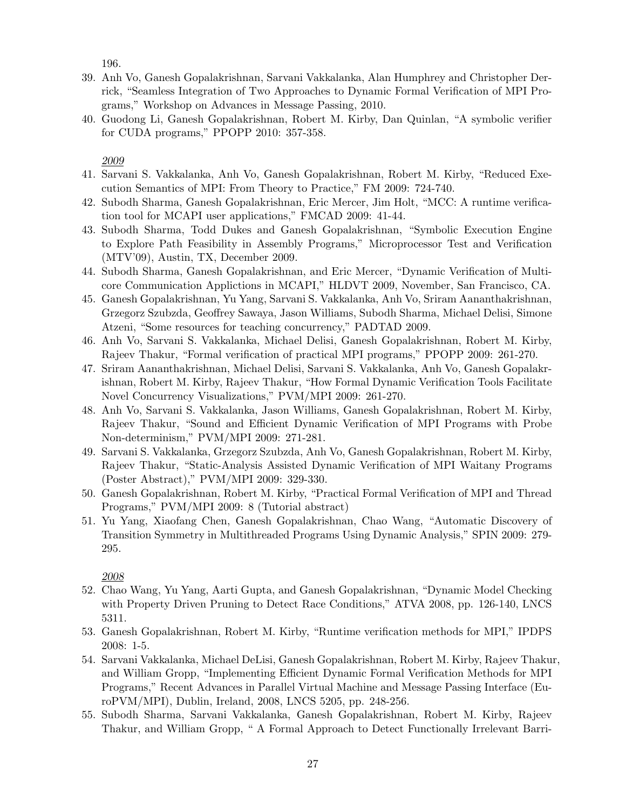196.

- 39. Anh Vo, Ganesh Gopalakrishnan, Sarvani Vakkalanka, Alan Humphrey and Christopher Derrick, "Seamless Integration of Two Approaches to Dynamic Formal Verification of MPI Programs," Workshop on Advances in Message Passing, 2010.
- 40. Guodong Li, Ganesh Gopalakrishnan, Robert M. Kirby, Dan Quinlan, "A symbolic verifier for CUDA programs," PPOPP 2010: 357-358.

2009

- 41. Sarvani S. Vakkalanka, Anh Vo, Ganesh Gopalakrishnan, Robert M. Kirby, "Reduced Execution Semantics of MPI: From Theory to Practice," FM 2009: 724-740.
- 42. Subodh Sharma, Ganesh Gopalakrishnan, Eric Mercer, Jim Holt, "MCC: A runtime verification tool for MCAPI user applications," FMCAD 2009: 41-44.
- 43. Subodh Sharma, Todd Dukes and Ganesh Gopalakrishnan, "Symbolic Execution Engine to Explore Path Feasibility in Assembly Programs," Microprocessor Test and Verification (MTV'09), Austin, TX, December 2009.
- 44. Subodh Sharma, Ganesh Gopalakrishnan, and Eric Mercer, "Dynamic Verification of Multicore Communication Applictions in MCAPI," HLDVT 2009, November, San Francisco, CA.
- 45. Ganesh Gopalakrishnan, Yu Yang, Sarvani S. Vakkalanka, Anh Vo, Sriram Aananthakrishnan, Grzegorz Szubzda, Geoffrey Sawaya, Jason Williams, Subodh Sharma, Michael Delisi, Simone Atzeni, "Some resources for teaching concurrency," PADTAD 2009.
- 46. Anh Vo, Sarvani S. Vakkalanka, Michael Delisi, Ganesh Gopalakrishnan, Robert M. Kirby, Rajeev Thakur, "Formal verification of practical MPI programs," PPOPP 2009: 261-270.
- 47. Sriram Aananthakrishnan, Michael Delisi, Sarvani S. Vakkalanka, Anh Vo, Ganesh Gopalakrishnan, Robert M. Kirby, Rajeev Thakur, "How Formal Dynamic Verification Tools Facilitate Novel Concurrency Visualizations," PVM/MPI 2009: 261-270.
- 48. Anh Vo, Sarvani S. Vakkalanka, Jason Williams, Ganesh Gopalakrishnan, Robert M. Kirby, Rajeev Thakur, "Sound and Efficient Dynamic Verification of MPI Programs with Probe Non-determinism," PVM/MPI 2009: 271-281.
- 49. Sarvani S. Vakkalanka, Grzegorz Szubzda, Anh Vo, Ganesh Gopalakrishnan, Robert M. Kirby, Rajeev Thakur, "Static-Analysis Assisted Dynamic Verification of MPI Waitany Programs (Poster Abstract)," PVM/MPI 2009: 329-330.
- 50. Ganesh Gopalakrishnan, Robert M. Kirby, "Practical Formal Verification of MPI and Thread Programs," PVM/MPI 2009: 8 (Tutorial abstract)
- 51. Yu Yang, Xiaofang Chen, Ganesh Gopalakrishnan, Chao Wang, "Automatic Discovery of Transition Symmetry in Multithreaded Programs Using Dynamic Analysis," SPIN 2009: 279- 295.

- 52. Chao Wang, Yu Yang, Aarti Gupta, and Ganesh Gopalakrishnan, "Dynamic Model Checking with Property Driven Pruning to Detect Race Conditions," ATVA 2008, pp. 126-140, LNCS 5311.
- 53. Ganesh Gopalakrishnan, Robert M. Kirby, "Runtime verification methods for MPI," IPDPS 2008: 1-5.
- 54. Sarvani Vakkalanka, Michael DeLisi, Ganesh Gopalakrishnan, Robert M. Kirby, Rajeev Thakur, and William Gropp, "Implementing Efficient Dynamic Formal Verification Methods for MPI Programs," Recent Advances in Parallel Virtual Machine and Message Passing Interface (EuroPVM/MPI), Dublin, Ireland, 2008, LNCS 5205, pp. 248-256.
- 55. Subodh Sharma, Sarvani Vakkalanka, Ganesh Gopalakrishnan, Robert M. Kirby, Rajeev Thakur, and William Gropp, " A Formal Approach to Detect Functionally Irrelevant Barri-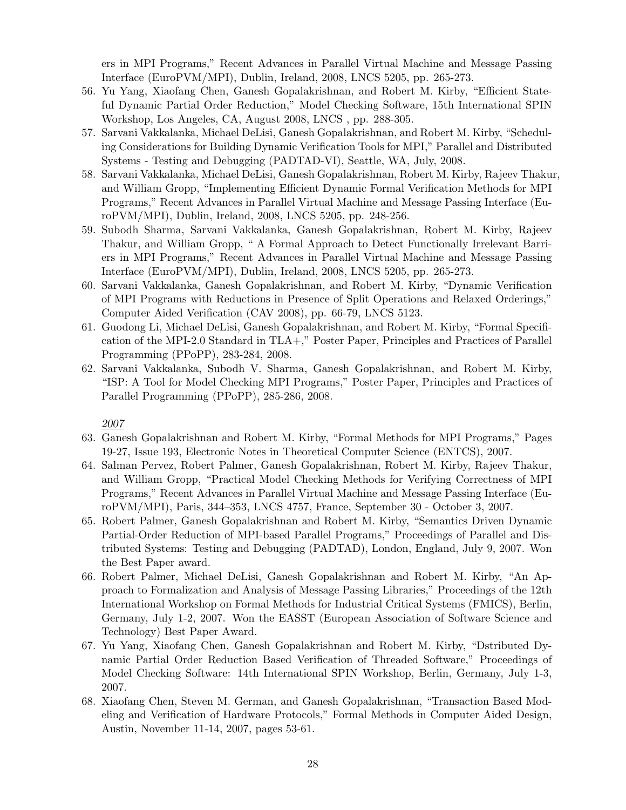ers in MPI Programs," Recent Advances in Parallel Virtual Machine and Message Passing Interface (EuroPVM/MPI), Dublin, Ireland, 2008, LNCS 5205, pp. 265-273.

- 56. Yu Yang, Xiaofang Chen, Ganesh Gopalakrishnan, and Robert M. Kirby, "Efficient Stateful Dynamic Partial Order Reduction," Model Checking Software, 15th International SPIN Workshop, Los Angeles, CA, August 2008, LNCS , pp. 288-305.
- 57. Sarvani Vakkalanka, Michael DeLisi, Ganesh Gopalakrishnan, and Robert M. Kirby, "Scheduling Considerations for Building Dynamic Verification Tools for MPI," Parallel and Distributed Systems - Testing and Debugging (PADTAD-VI), Seattle, WA, July, 2008.
- 58. Sarvani Vakkalanka, Michael DeLisi, Ganesh Gopalakrishnan, Robert M. Kirby, Rajeev Thakur, and William Gropp, "Implementing Efficient Dynamic Formal Verification Methods for MPI Programs," Recent Advances in Parallel Virtual Machine and Message Passing Interface (EuroPVM/MPI), Dublin, Ireland, 2008, LNCS 5205, pp. 248-256.
- 59. Subodh Sharma, Sarvani Vakkalanka, Ganesh Gopalakrishnan, Robert M. Kirby, Rajeev Thakur, and William Gropp, " A Formal Approach to Detect Functionally Irrelevant Barriers in MPI Programs," Recent Advances in Parallel Virtual Machine and Message Passing Interface (EuroPVM/MPI), Dublin, Ireland, 2008, LNCS 5205, pp. 265-273.
- 60. Sarvani Vakkalanka, Ganesh Gopalakrishnan, and Robert M. Kirby, "Dynamic Verification of MPI Programs with Reductions in Presence of Split Operations and Relaxed Orderings," Computer Aided Verification (CAV 2008), pp. 66-79, LNCS 5123.
- 61. Guodong Li, Michael DeLisi, Ganesh Gopalakrishnan, and Robert M. Kirby, "Formal Specification of the MPI-2.0 Standard in TLA+," Poster Paper, Principles and Practices of Parallel Programming (PPoPP), 283-284, 2008.
- 62. Sarvani Vakkalanka, Subodh V. Sharma, Ganesh Gopalakrishnan, and Robert M. Kirby, "ISP: A Tool for Model Checking MPI Programs," Poster Paper, Principles and Practices of Parallel Programming (PPoPP), 285-286, 2008.

- 63. Ganesh Gopalakrishnan and Robert M. Kirby, "Formal Methods for MPI Programs," Pages 19-27, Issue 193, Electronic Notes in Theoretical Computer Science (ENTCS), 2007.
- 64. Salman Pervez, Robert Palmer, Ganesh Gopalakrishnan, Robert M. Kirby, Rajeev Thakur, and William Gropp, "Practical Model Checking Methods for Verifying Correctness of MPI Programs," Recent Advances in Parallel Virtual Machine and Message Passing Interface (EuroPVM/MPI), Paris, 344–353, LNCS 4757, France, September 30 - October 3, 2007.
- 65. Robert Palmer, Ganesh Gopalakrishnan and Robert M. Kirby, "Semantics Driven Dynamic Partial-Order Reduction of MPI-based Parallel Programs," Proceedings of Parallel and Distributed Systems: Testing and Debugging (PADTAD), London, England, July 9, 2007. Won the Best Paper award.
- 66. Robert Palmer, Michael DeLisi, Ganesh Gopalakrishnan and Robert M. Kirby, "An Approach to Formalization and Analysis of Message Passing Libraries," Proceedings of the 12th International Workshop on Formal Methods for Industrial Critical Systems (FMICS), Berlin, Germany, July 1-2, 2007. Won the EASST (European Association of Software Science and Technology) Best Paper Award.
- 67. Yu Yang, Xiaofang Chen, Ganesh Gopalakrishnan and Robert M. Kirby, "Dstributed Dynamic Partial Order Reduction Based Verification of Threaded Software," Proceedings of Model Checking Software: 14th International SPIN Workshop, Berlin, Germany, July 1-3, 2007.
- 68. Xiaofang Chen, Steven M. German, and Ganesh Gopalakrishnan, "Transaction Based Modeling and Verification of Hardware Protocols," Formal Methods in Computer Aided Design, Austin, November 11-14, 2007, pages 53-61.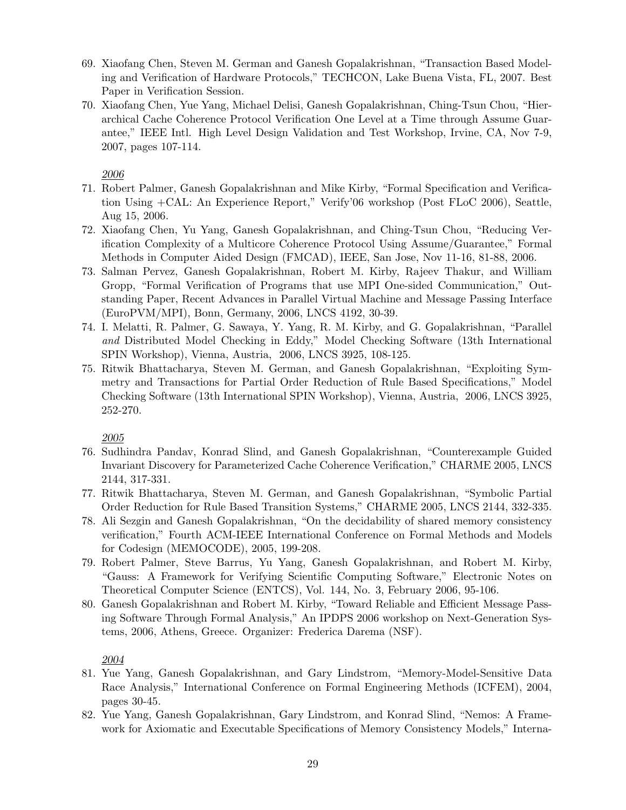- 69. Xiaofang Chen, Steven M. German and Ganesh Gopalakrishnan, "Transaction Based Modeling and Verification of Hardware Protocols," TECHCON, Lake Buena Vista, FL, 2007. Best Paper in Verification Session.
- 70. Xiaofang Chen, Yue Yang, Michael Delisi, Ganesh Gopalakrishnan, Ching-Tsun Chou, "Hierarchical Cache Coherence Protocol Verification One Level at a Time through Assume Guarantee," IEEE Intl. High Level Design Validation and Test Workshop, Irvine, CA, Nov 7-9, 2007, pages 107-114.

#### 2006

- 71. Robert Palmer, Ganesh Gopalakrishnan and Mike Kirby, "Formal Specification and Verification Using +CAL: An Experience Report," Verify'06 workshop (Post FLoC 2006), Seattle, Aug 15, 2006.
- 72. Xiaofang Chen, Yu Yang, Ganesh Gopalakrishnan, and Ching-Tsun Chou, "Reducing Verification Complexity of a Multicore Coherence Protocol Using Assume/Guarantee," Formal Methods in Computer Aided Design (FMCAD), IEEE, San Jose, Nov 11-16, 81-88, 2006.
- 73. Salman Pervez, Ganesh Gopalakrishnan, Robert M. Kirby, Rajeev Thakur, and William Gropp, "Formal Verification of Programs that use MPI One-sided Communication," Outstanding Paper, Recent Advances in Parallel Virtual Machine and Message Passing Interface (EuroPVM/MPI), Bonn, Germany, 2006, LNCS 4192, 30-39.
- 74. I. Melatti, R. Palmer, G. Sawaya, Y. Yang, R. M. Kirby, and G. Gopalakrishnan, "Parallel and Distributed Model Checking in Eddy," Model Checking Software (13th International SPIN Workshop), Vienna, Austria, 2006, LNCS 3925, 108-125.
- 75. Ritwik Bhattacharya, Steven M. German, and Ganesh Gopalakrishnan, "Exploiting Symmetry and Transactions for Partial Order Reduction of Rule Based Specifications," Model Checking Software (13th International SPIN Workshop), Vienna, Austria, 2006, LNCS 3925, 252-270.

### 2005

- 76. Sudhindra Pandav, Konrad Slind, and Ganesh Gopalakrishnan, "Counterexample Guided Invariant Discovery for Parameterized Cache Coherence Verification," CHARME 2005, LNCS 2144, 317-331.
- 77. Ritwik Bhattacharya, Steven M. German, and Ganesh Gopalakrishnan, "Symbolic Partial Order Reduction for Rule Based Transition Systems," CHARME 2005, LNCS 2144, 332-335.
- 78. Ali Sezgin and Ganesh Gopalakrishnan, "On the decidability of shared memory consistency verification," Fourth ACM-IEEE International Conference on Formal Methods and Models for Codesign (MEMOCODE), 2005, 199-208.
- 79. Robert Palmer, Steve Barrus, Yu Yang, Ganesh Gopalakrishnan, and Robert M. Kirby, "Gauss: A Framework for Verifying Scientific Computing Software," Electronic Notes on Theoretical Computer Science (ENTCS), Vol. 144, No. 3, February 2006, 95-106.
- 80. Ganesh Gopalakrishnan and Robert M. Kirby, "Toward Reliable and Efficient Message Passing Software Through Formal Analysis," An IPDPS 2006 workshop on Next-Generation Systems, 2006, Athens, Greece. Organizer: Frederica Darema (NSF).

- 81. Yue Yang, Ganesh Gopalakrishnan, and Gary Lindstrom, "Memory-Model-Sensitive Data Race Analysis," International Conference on Formal Engineering Methods (ICFEM), 2004, pages 30-45.
- 82. Yue Yang, Ganesh Gopalakrishnan, Gary Lindstrom, and Konrad Slind, "Nemos: A Framework for Axiomatic and Executable Specifications of Memory Consistency Models," Interna-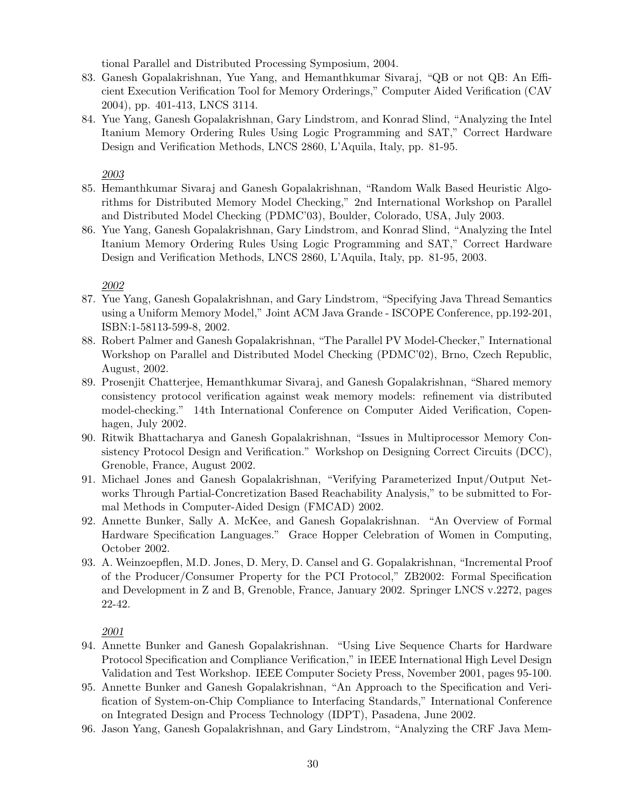tional Parallel and Distributed Processing Symposium, 2004.

- 83. Ganesh Gopalakrishnan, Yue Yang, and Hemanthkumar Sivaraj, "QB or not QB: An Efficient Execution Verification Tool for Memory Orderings," Computer Aided Verification (CAV 2004), pp. 401-413, LNCS 3114.
- 84. Yue Yang, Ganesh Gopalakrishnan, Gary Lindstrom, and Konrad Slind, "Analyzing the Intel Itanium Memory Ordering Rules Using Logic Programming and SAT," Correct Hardware Design and Verification Methods, LNCS 2860, L'Aquila, Italy, pp. 81-95.

2003

- 85. Hemanthkumar Sivaraj and Ganesh Gopalakrishnan, "Random Walk Based Heuristic Algorithms for Distributed Memory Model Checking," 2nd International Workshop on Parallel and Distributed Model Checking (PDMC'03), Boulder, Colorado, USA, July 2003.
- 86. Yue Yang, Ganesh Gopalakrishnan, Gary Lindstrom, and Konrad Slind, "Analyzing the Intel Itanium Memory Ordering Rules Using Logic Programming and SAT," Correct Hardware Design and Verification Methods, LNCS 2860, L'Aquila, Italy, pp. 81-95, 2003.

2002

- 87. Yue Yang, Ganesh Gopalakrishnan, and Gary Lindstrom, "Specifying Java Thread Semantics using a Uniform Memory Model," Joint ACM Java Grande - ISCOPE Conference, pp.192-201, ISBN:1-58113-599-8, 2002.
- 88. Robert Palmer and Ganesh Gopalakrishnan, "The Parallel PV Model-Checker," International Workshop on Parallel and Distributed Model Checking (PDMC'02), Brno, Czech Republic, August, 2002.
- 89. Prosenjit Chatterjee, Hemanthkumar Sivaraj, and Ganesh Gopalakrishnan, "Shared memory consistency protocol verification against weak memory models: refinement via distributed model-checking." 14th International Conference on Computer Aided Verification, Copenhagen, July 2002.
- 90. Ritwik Bhattacharya and Ganesh Gopalakrishnan, "Issues in Multiprocessor Memory Consistency Protocol Design and Verification." Workshop on Designing Correct Circuits (DCC), Grenoble, France, August 2002.
- 91. Michael Jones and Ganesh Gopalakrishnan, "Verifying Parameterized Input/Output Networks Through Partial-Concretization Based Reachability Analysis," to be submitted to Formal Methods in Computer-Aided Design (FMCAD) 2002.
- 92. Annette Bunker, Sally A. McKee, and Ganesh Gopalakrishnan. "An Overview of Formal Hardware Specification Languages." Grace Hopper Celebration of Women in Computing, October 2002.
- 93. A. Weinzoepflen, M.D. Jones, D. Mery, D. Cansel and G. Gopalakrishnan, "Incremental Proof of the Producer/Consumer Property for the PCI Protocol," ZB2002: Formal Specification and Development in Z and B, Grenoble, France, January 2002. Springer LNCS v.2272, pages 22-42.

- 94. Annette Bunker and Ganesh Gopalakrishnan. "Using Live Sequence Charts for Hardware Protocol Specification and Compliance Verification," in IEEE International High Level Design Validation and Test Workshop. IEEE Computer Society Press, November 2001, pages 95-100.
- 95. Annette Bunker and Ganesh Gopalakrishnan, "An Approach to the Specification and Verification of System-on-Chip Compliance to Interfacing Standards," International Conference on Integrated Design and Process Technology (IDPT), Pasadena, June 2002.
- 96. Jason Yang, Ganesh Gopalakrishnan, and Gary Lindstrom, "Analyzing the CRF Java Mem-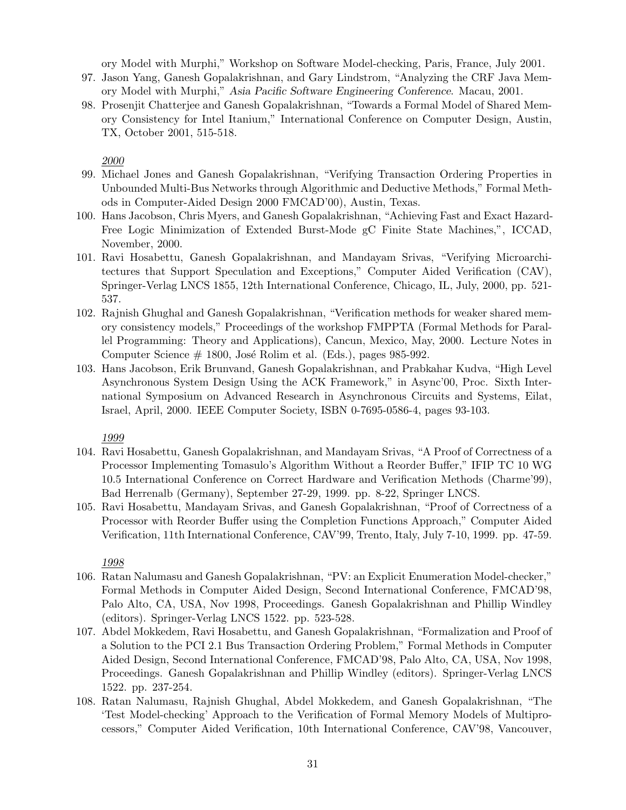ory Model with Murphi," Workshop on Software Model-checking, Paris, France, July 2001.

- 97. Jason Yang, Ganesh Gopalakrishnan, and Gary Lindstrom, "Analyzing the CRF Java Memory Model with Murphi," Asia Pacific Software Engineering Conference. Macau, 2001.
- 98. Prosenjit Chatterjee and Ganesh Gopalakrishnan, "Towards a Formal Model of Shared Memory Consistency for Intel Itanium," International Conference on Computer Design, Austin, TX, October 2001, 515-518.

2000

- 99. Michael Jones and Ganesh Gopalakrishnan, "Verifying Transaction Ordering Properties in Unbounded Multi-Bus Networks through Algorithmic and Deductive Methods," Formal Methods in Computer-Aided Design 2000 FMCAD'00), Austin, Texas.
- 100. Hans Jacobson, Chris Myers, and Ganesh Gopalakrishnan, "Achieving Fast and Exact Hazard-Free Logic Minimization of Extended Burst-Mode gC Finite State Machines,", ICCAD, November, 2000.
- 101. Ravi Hosabettu, Ganesh Gopalakrishnan, and Mandayam Srivas, "Verifying Microarchitectures that Support Speculation and Exceptions," Computer Aided Verification (CAV), Springer-Verlag LNCS 1855, 12th International Conference, Chicago, IL, July, 2000, pp. 521- 537.
- 102. Rajnish Ghughal and Ganesh Gopalakrishnan, "Verification methods for weaker shared memory consistency models," Proceedings of the workshop FMPPTA (Formal Methods for Parallel Programming: Theory and Applications), Cancun, Mexico, May, 2000. Lecture Notes in Computer Science  $# 1800$ , José Rolim et al. (Eds.), pages 985-992.
- 103. Hans Jacobson, Erik Brunvand, Ganesh Gopalakrishnan, and Prabkahar Kudva, "High Level Asynchronous System Design Using the ACK Framework," in Async'00, Proc. Sixth International Symposium on Advanced Research in Asynchronous Circuits and Systems, Eilat, Israel, April, 2000. IEEE Computer Society, ISBN 0-7695-0586-4, pages 93-103.

1999

- 104. Ravi Hosabettu, Ganesh Gopalakrishnan, and Mandayam Srivas, "A Proof of Correctness of a Processor Implementing Tomasulo's Algorithm Without a Reorder Buffer," IFIP TC 10 WG 10.5 International Conference on Correct Hardware and Verification Methods (Charme'99), Bad Herrenalb (Germany), September 27-29, 1999. pp. 8-22, Springer LNCS.
- 105. Ravi Hosabettu, Mandayam Srivas, and Ganesh Gopalakrishnan, "Proof of Correctness of a Processor with Reorder Buffer using the Completion Functions Approach," Computer Aided Verification, 11th International Conference, CAV'99, Trento, Italy, July 7-10, 1999. pp. 47-59.

- 106. Ratan Nalumasu and Ganesh Gopalakrishnan, "PV: an Explicit Enumeration Model-checker," Formal Methods in Computer Aided Design, Second International Conference, FMCAD'98, Palo Alto, CA, USA, Nov 1998, Proceedings. Ganesh Gopalakrishnan and Phillip Windley (editors). Springer-Verlag LNCS 1522. pp. 523-528.
- 107. Abdel Mokkedem, Ravi Hosabettu, and Ganesh Gopalakrishnan, "Formalization and Proof of a Solution to the PCI 2.1 Bus Transaction Ordering Problem," Formal Methods in Computer Aided Design, Second International Conference, FMCAD'98, Palo Alto, CA, USA, Nov 1998, Proceedings. Ganesh Gopalakrishnan and Phillip Windley (editors). Springer-Verlag LNCS 1522. pp. 237-254.
- 108. Ratan Nalumasu, Rajnish Ghughal, Abdel Mokkedem, and Ganesh Gopalakrishnan, "The 'Test Model-checking' Approach to the Verification of Formal Memory Models of Multiprocessors," Computer Aided Verification, 10th International Conference, CAV'98, Vancouver,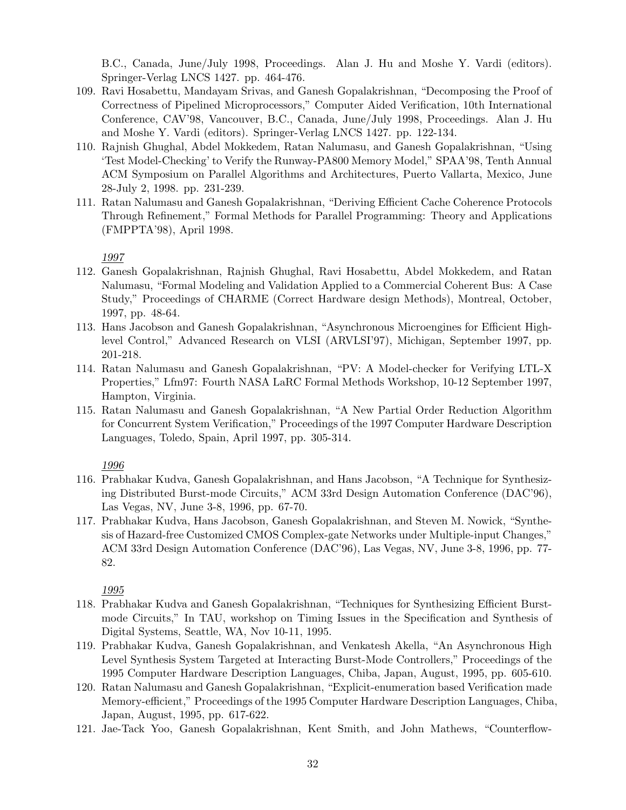B.C., Canada, June/July 1998, Proceedings. Alan J. Hu and Moshe Y. Vardi (editors). Springer-Verlag LNCS 1427. pp. 464-476.

- 109. Ravi Hosabettu, Mandayam Srivas, and Ganesh Gopalakrishnan, "Decomposing the Proof of Correctness of Pipelined Microprocessors," Computer Aided Verification, 10th International Conference, CAV'98, Vancouver, B.C., Canada, June/July 1998, Proceedings. Alan J. Hu and Moshe Y. Vardi (editors). Springer-Verlag LNCS 1427. pp. 122-134.
- 110. Rajnish Ghughal, Abdel Mokkedem, Ratan Nalumasu, and Ganesh Gopalakrishnan, "Using 'Test Model-Checking' to Verify the Runway-PA800 Memory Model," SPAA'98, Tenth Annual ACM Symposium on Parallel Algorithms and Architectures, Puerto Vallarta, Mexico, June 28-July 2, 1998. pp. 231-239.
- 111. Ratan Nalumasu and Ganesh Gopalakrishnan, "Deriving Efficient Cache Coherence Protocols Through Refinement," Formal Methods for Parallel Programming: Theory and Applications (FMPPTA'98), April 1998.

#### 1997

- 112. Ganesh Gopalakrishnan, Rajnish Ghughal, Ravi Hosabettu, Abdel Mokkedem, and Ratan Nalumasu, "Formal Modeling and Validation Applied to a Commercial Coherent Bus: A Case Study," Proceedings of CHARME (Correct Hardware design Methods), Montreal, October, 1997, pp. 48-64.
- 113. Hans Jacobson and Ganesh Gopalakrishnan, "Asynchronous Microengines for Efficient Highlevel Control," Advanced Research on VLSI (ARVLSI'97), Michigan, September 1997, pp. 201-218.
- 114. Ratan Nalumasu and Ganesh Gopalakrishnan, "PV: A Model-checker for Verifying LTL-X Properties," Lfm97: Fourth NASA LaRC Formal Methods Workshop, 10-12 September 1997, Hampton, Virginia.
- 115. Ratan Nalumasu and Ganesh Gopalakrishnan, "A New Partial Order Reduction Algorithm for Concurrent System Verification," Proceedings of the 1997 Computer Hardware Description Languages, Toledo, Spain, April 1997, pp. 305-314.

### 1996

- 116. Prabhakar Kudva, Ganesh Gopalakrishnan, and Hans Jacobson, "A Technique for Synthesizing Distributed Burst-mode Circuits," ACM 33rd Design Automation Conference (DAC'96), Las Vegas, NV, June 3-8, 1996, pp. 67-70.
- 117. Prabhakar Kudva, Hans Jacobson, Ganesh Gopalakrishnan, and Steven M. Nowick, "Synthesis of Hazard-free Customized CMOS Complex-gate Networks under Multiple-input Changes," ACM 33rd Design Automation Conference (DAC'96), Las Vegas, NV, June 3-8, 1996, pp. 77- 82.

- 118. Prabhakar Kudva and Ganesh Gopalakrishnan, "Techniques for Synthesizing Efficient Burstmode Circuits," In TAU, workshop on Timing Issues in the Specification and Synthesis of Digital Systems, Seattle, WA, Nov 10-11, 1995.
- 119. Prabhakar Kudva, Ganesh Gopalakrishnan, and Venkatesh Akella, "An Asynchronous High Level Synthesis System Targeted at Interacting Burst-Mode Controllers," Proceedings of the 1995 Computer Hardware Description Languages, Chiba, Japan, August, 1995, pp. 605-610.
- 120. Ratan Nalumasu and Ganesh Gopalakrishnan, "Explicit-enumeration based Verification made Memory-efficient," Proceedings of the 1995 Computer Hardware Description Languages, Chiba, Japan, August, 1995, pp. 617-622.
- 121. Jae-Tack Yoo, Ganesh Gopalakrishnan, Kent Smith, and John Mathews, "Counterflow-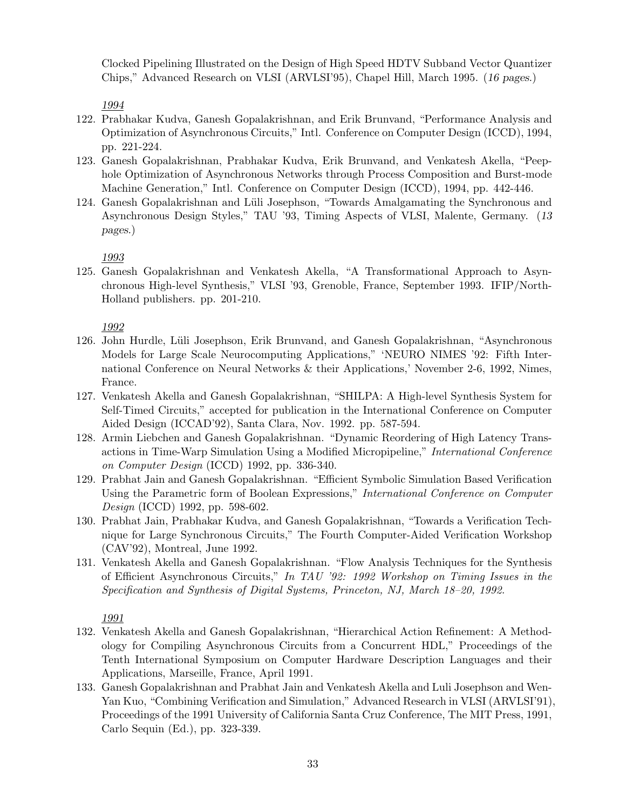Clocked Pipelining Illustrated on the Design of High Speed HDTV Subband Vector Quantizer Chips," Advanced Research on VLSI (ARVLSI'95), Chapel Hill, March 1995. (16 pages.)

1994

- 122. Prabhakar Kudva, Ganesh Gopalakrishnan, and Erik Brunvand, "Performance Analysis and Optimization of Asynchronous Circuits," Intl. Conference on Computer Design (ICCD), 1994, pp. 221-224.
- 123. Ganesh Gopalakrishnan, Prabhakar Kudva, Erik Brunvand, and Venkatesh Akella, "Peephole Optimization of Asynchronous Networks through Process Composition and Burst-mode Machine Generation," Intl. Conference on Computer Design (ICCD), 1994, pp. 442-446.
- 124. Ganesh Gopalakrishnan and Lüli Josephson, "Towards Amalgamating the Synchronous and Asynchronous Design Styles," TAU '93, Timing Aspects of VLSI, Malente, Germany. (13 pages.)

1993

125. Ganesh Gopalakrishnan and Venkatesh Akella, "A Transformational Approach to Asynchronous High-level Synthesis," VLSI '93, Grenoble, France, September 1993. IFIP/North-Holland publishers. pp. 201-210.

1992

- 126. John Hurdle, L¨uli Josephson, Erik Brunvand, and Ganesh Gopalakrishnan, "Asynchronous Models for Large Scale Neurocomputing Applications," 'NEURO NIMES '92: Fifth International Conference on Neural Networks & their Applications,' November 2-6, 1992, Nimes, France.
- 127. Venkatesh Akella and Ganesh Gopalakrishnan, "SHILPA: A High-level Synthesis System for Self-Timed Circuits," accepted for publication in the International Conference on Computer Aided Design (ICCAD'92), Santa Clara, Nov. 1992. pp. 587-594.
- 128. Armin Liebchen and Ganesh Gopalakrishnan. "Dynamic Reordering of High Latency Transactions in Time-Warp Simulation Using a Modified Micropipeline," International Conference on Computer Design (ICCD) 1992, pp. 336-340.
- 129. Prabhat Jain and Ganesh Gopalakrishnan. "Efficient Symbolic Simulation Based Verification Using the Parametric form of Boolean Expressions," International Conference on Computer Design (ICCD) 1992, pp. 598-602.
- 130. Prabhat Jain, Prabhakar Kudva, and Ganesh Gopalakrishnan, "Towards a Verification Technique for Large Synchronous Circuits," The Fourth Computer-Aided Verification Workshop (CAV'92), Montreal, June 1992.
- 131. Venkatesh Akella and Ganesh Gopalakrishnan. "Flow Analysis Techniques for the Synthesis of Efficient Asynchronous Circuits," In TAU '92: 1992 Workshop on Timing Issues in the Specification and Synthesis of Digital Systems, Princeton, NJ, March 18–20, 1992.

- 132. Venkatesh Akella and Ganesh Gopalakrishnan, "Hierarchical Action Refinement: A Methodology for Compiling Asynchronous Circuits from a Concurrent HDL," Proceedings of the Tenth International Symposium on Computer Hardware Description Languages and their Applications, Marseille, France, April 1991.
- 133. Ganesh Gopalakrishnan and Prabhat Jain and Venkatesh Akella and Luli Josephson and Wen-Yan Kuo, "Combining Verification and Simulation," Advanced Research in VLSI (ARVLSI'91), Proceedings of the 1991 University of California Santa Cruz Conference, The MIT Press, 1991, Carlo Sequin (Ed.), pp. 323-339.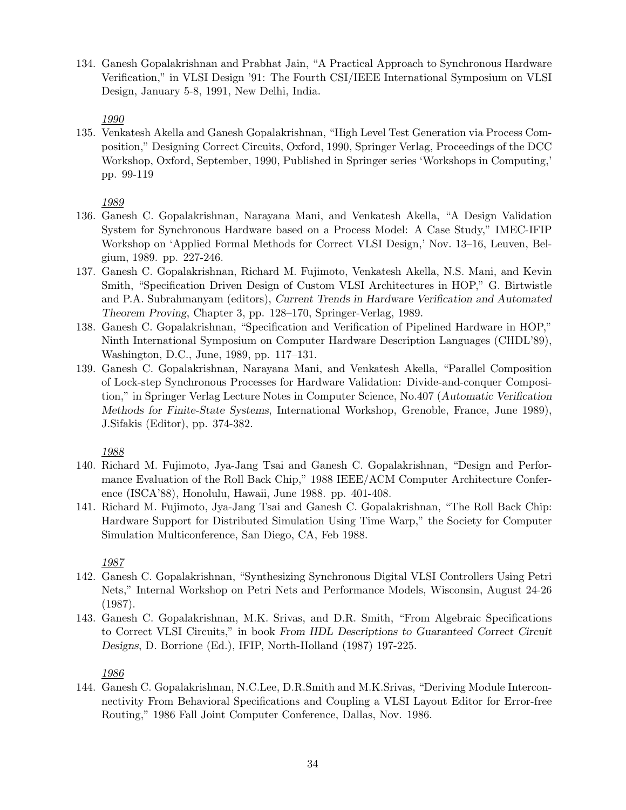134. Ganesh Gopalakrishnan and Prabhat Jain, "A Practical Approach to Synchronous Hardware Verification," in VLSI Design '91: The Fourth CSI/IEEE International Symposium on VLSI Design, January 5-8, 1991, New Delhi, India.

1990

135. Venkatesh Akella and Ganesh Gopalakrishnan, "High Level Test Generation via Process Composition," Designing Correct Circuits, Oxford, 1990, Springer Verlag, Proceedings of the DCC Workshop, Oxford, September, 1990, Published in Springer series 'Workshops in Computing,' pp. 99-119

1989

- 136. Ganesh C. Gopalakrishnan, Narayana Mani, and Venkatesh Akella, "A Design Validation System for Synchronous Hardware based on a Process Model: A Case Study," IMEC-IFIP Workshop on 'Applied Formal Methods for Correct VLSI Design,' Nov. 13–16, Leuven, Belgium, 1989. pp. 227-246.
- 137. Ganesh C. Gopalakrishnan, Richard M. Fujimoto, Venkatesh Akella, N.S. Mani, and Kevin Smith, "Specification Driven Design of Custom VLSI Architectures in HOP," G. Birtwistle and P.A. Subrahmanyam (editors), Current Trends in Hardware Verification and Automated Theorem Proving, Chapter 3, pp. 128–170, Springer-Verlag, 1989.
- 138. Ganesh C. Gopalakrishnan, "Specification and Verification of Pipelined Hardware in HOP," Ninth International Symposium on Computer Hardware Description Languages (CHDL'89), Washington, D.C., June, 1989, pp. 117–131.
- 139. Ganesh C. Gopalakrishnan, Narayana Mani, and Venkatesh Akella, "Parallel Composition of Lock-step Synchronous Processes for Hardware Validation: Divide-and-conquer Composition," in Springer Verlag Lecture Notes in Computer Science, No.407 (Automatic Verification Methods for Finite-State Systems, International Workshop, Grenoble, France, June 1989), J.Sifakis (Editor), pp. 374-382.

1988

- 140. Richard M. Fujimoto, Jya-Jang Tsai and Ganesh C. Gopalakrishnan, "Design and Performance Evaluation of the Roll Back Chip," 1988 IEEE/ACM Computer Architecture Conference (ISCA'88), Honolulu, Hawaii, June 1988. pp. 401-408.
- 141. Richard M. Fujimoto, Jya-Jang Tsai and Ganesh C. Gopalakrishnan, "The Roll Back Chip: Hardware Support for Distributed Simulation Using Time Warp," the Society for Computer Simulation Multiconference, San Diego, CA, Feb 1988.

1987

- 142. Ganesh C. Gopalakrishnan, "Synthesizing Synchronous Digital VLSI Controllers Using Petri Nets," Internal Workshop on Petri Nets and Performance Models, Wisconsin, August 24-26 (1987).
- 143. Ganesh C. Gopalakrishnan, M.K. Srivas, and D.R. Smith, "From Algebraic Specifications to Correct VLSI Circuits," in book From HDL Descriptions to Guaranteed Correct Circuit Designs, D. Borrione (Ed.), IFIP, North-Holland (1987) 197-225.

1986

144. Ganesh C. Gopalakrishnan, N.C.Lee, D.R.Smith and M.K.Srivas, "Deriving Module Interconnectivity From Behavioral Specifications and Coupling a VLSI Layout Editor for Error-free Routing," 1986 Fall Joint Computer Conference, Dallas, Nov. 1986.